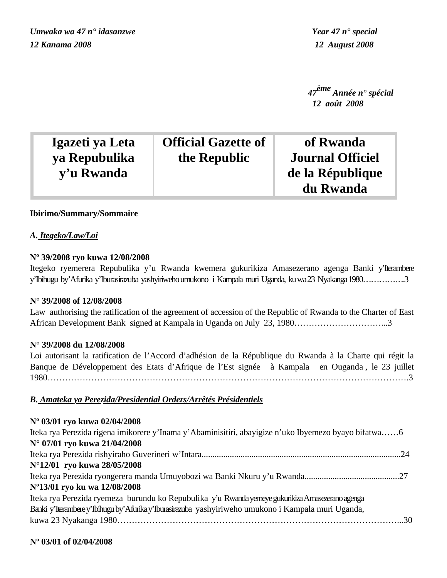*Umwaka wa 47 n° idasanzwe Year 47 n° special 12 Kanama 2008 12 August 2008*

 *47ème Année n° spécial 12 août 2008*

| Igazeti ya Leta | <b>Official Gazette of</b> | of Rwanda                     |
|-----------------|----------------------------|-------------------------------|
| ya Repubulika   | the Republic               | <b>Journal Officiel</b>       |
| y'u Rwanda      |                            | de la République<br>du Rwanda |

# **Ibirimo/Summary/Sommaire**

# *A. Itegeko/Law/Loi*

# **Nº 39/2008 ryo kuwa 12/08/2008**

Itegeko ryemerera Repubulika y'u Rwanda kwemera gukurikiza Amasezerano agenga Banki y'Iterambere y'Ibihugu by'Afurika y'Iburasirazuba yashyiriweho umukono i Kampala muri Uganda, ku wa 23 Nyakanga 1980…………….3

# **N° 39/2008 of 12/08/2008**

Law authorising the ratification of the agreement of accession of the Republic of Rwanda to the Charter of East African Development Bank signed at Kampala in Uganda on July 23, 1980…………………………...3

# **N° 39/2008 du 12/08/2008**

Loi autorisant la ratification de l'Accord d'adhésion de la République du Rwanda à la Charte qui régit la Banque de Développement des Etats d'Afrique de l'Est signée à Kampala en Ouganda , le 23 juillet 1980…………………………………………………………………………………………………………….3

# *B. Amateka ya Perezida/Presidential Orders/Arrêtés Présidentiels*

| Nº 03/01 ryo kuwa 02/04/2008                                                                         |  |
|------------------------------------------------------------------------------------------------------|--|
| Iteka rya Perezida rigena imikorere y'Inama y'Abaminisitiri, abayigize n'uko Ibyemezo byayo bifatwa6 |  |
| N° 07/01 ryo kuwa 21/04/2008                                                                         |  |
|                                                                                                      |  |
| N°12/01 ryo kuwa 28/05/2008                                                                          |  |
|                                                                                                      |  |
| Nº13/01 ryo ku wa 12/08/2008                                                                         |  |
| Iteka rya Perezida ryemeza burundu ko Repubulika y'u Rwanda yemeye gukurikiza Amasezerano agenga     |  |
| Banki y'Iterambere y'Ibihugu by'Afurika y'Iburasirazuba yashyiriweho umukono i Kampala muri Uganda,  |  |
|                                                                                                      |  |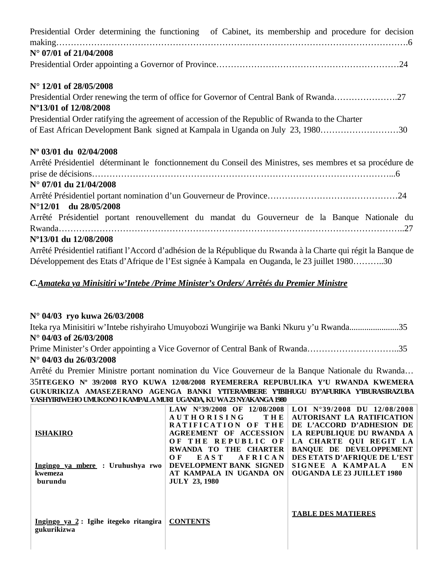| Presidential Order determining the functioning of Cabinet, its membership and procedure for decision            |
|-----------------------------------------------------------------------------------------------------------------|
| $N^{\circ}$ 07/01 of 21/04/2008                                                                                 |
|                                                                                                                 |
| N° 12/01 of 28/05/2008                                                                                          |
| Presidential Order renewing the term of office for Governor of Central Bank of Rwanda27                         |
| N°13/01 of 12/08/2008                                                                                           |
| Presidential Order ratifying the agreement of accession of the Republic of Rwanda to the Charter                |
| of East African Development Bank signed at Kampala in Uganda on July 23, 198030                                 |
| Nº 03/01 du 02/04/2008                                                                                          |
| Arrêté Présidentiel déterminant le fonctionnement du Conseil des Ministres, ses membres et sa procédure de      |
|                                                                                                                 |
| $N^{\circ}$ 07/01 du 21/04/2008                                                                                 |
|                                                                                                                 |
| $N^{\circ}12/01$ du $28/05/2008$                                                                                |
| Arrêté Présidentiel portant renouvellement du mandat du Gouverneur de la Banque Nationale du                    |
|                                                                                                                 |
| Nº13/01 du 12/08/2008                                                                                           |
| Arrêté Présidentiel ratifiant l'Accord d'adhésion de la République du Rwanda à la Charte qui régit la Banque de |
| Développement des Etats d'Afrique de l'Est signée à Kampala en Ouganda, le 23 juillet 198030                    |

# *C.Amateka ya Minisitiri w'Intebe /Prime Minister's Orders/ Arrêtés du Premier Ministre*

# **N° 04/03 ryo kuwa 26/03/2008**

Iteka rya Minisitiri w'Intebe rishyiraho Umuyobozi Wungirije wa Banki Nkuru y'u Rwanda.......................35 **N° 04/03 of 26/03/2008**

Prime Minister's Order appointing a Vice Governor of Central Bank of Rwanda…………………………..35 **N° 04/03 du 26/03/2008**

Arrêté du Premier Ministre portant nomination du Vice Gouverneur de la Banque Nationale du Rwanda… 35**ITEGEKO Nº 39/2008 RYO KUWA 12/08/2008 RYEMERERA REPUBULIKA Y'U RWANDA KWEMERA GUKURIKIZA AMASEZERANO AGENGA BANKI Y'ITERAMBERE Y'IBIHUGU BY'AFURIKA Y'IBURASIRAZUBA YASHYIRIWEHO UMUKONO I KAMPALA MURI UGANDA, KU WA 23 NYAKANGA 1980**

| <b>ISHAKIRO</b><br>Ingingo ya mbere : Uruhushya rwo<br>kwemeza  | LAW $N^{\circ}39/2008$ OF 12/08/2008<br><b>AUTHORISING</b><br>THEI<br>RATIFICATION OF THE<br><b>AGREEMENT OF ACCESSION</b><br>OF THE REPUBLIC OF<br>RWANDA TO THE CHARTER<br>EAST<br>AFRICAN<br>O F<br>DEVELOPMENT BANK SIGNED<br>AT KAMPALA IN UGANDA ON | LOI N°39/2008 DU 12/08/2008<br>AUTORISANT LA RATIFICATION<br>DE L'ACCORD D'ADHESION DE<br>LA REPUBLIQUE DU RWANDA A<br>LA CHARTE QUI REGIT LA<br><b>BANQUE DE DEVELOPPEMENT</b><br>DES ETATS D'AFRIQUE DE L'EST<br>SIGNEE A KAMPALA<br>EN<br><b>OUGANDA LE 23 JUILLET 1980</b> |
|-----------------------------------------------------------------|-----------------------------------------------------------------------------------------------------------------------------------------------------------------------------------------------------------------------------------------------------------|--------------------------------------------------------------------------------------------------------------------------------------------------------------------------------------------------------------------------------------------------------------------------------|
| burundu<br>Ingingo ya 2: Igihe itegeko ritangira<br>gukurikizwa | <b>JULY 23, 1980</b><br><b>CONTENTS</b>                                                                                                                                                                                                                   | <b>TABLE DES MATIERES</b>                                                                                                                                                                                                                                                      |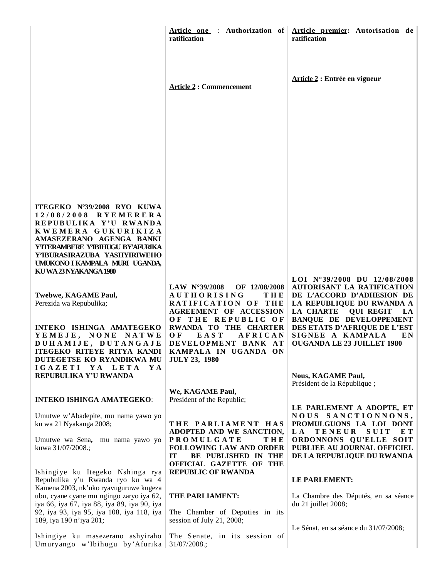|                                                                                                                                                                                                                                                               | Article one : Authorization of  <br>ratification                                                                                                                            | Article premier: Autorisation de<br>ratification                                                                                                                                                                                    |
|---------------------------------------------------------------------------------------------------------------------------------------------------------------------------------------------------------------------------------------------------------------|-----------------------------------------------------------------------------------------------------------------------------------------------------------------------------|-------------------------------------------------------------------------------------------------------------------------------------------------------------------------------------------------------------------------------------|
|                                                                                                                                                                                                                                                               | <b>Article 2: Commencement</b>                                                                                                                                              | Article 2 : Entrée en vigueur                                                                                                                                                                                                       |
|                                                                                                                                                                                                                                                               |                                                                                                                                                                             |                                                                                                                                                                                                                                     |
| ITEGEKO Nº39/2008 RYO KUWA<br>12/08/2008 RYEMERERA<br>REPUBULIKA Y'U RWANDA<br>KWEMERA GUKURIKIZA<br>AMASEZERANO AGENGA BANKI<br>YTTERAMBERE Y'IBIHUGU BY'AFURIKA<br>Y'IBURASIRAZUBA YASHYIRIWEHO<br>UMUKONO I KAMPALA MURI UGANDA,<br>KU WA 23 NYAKANGA 1980 |                                                                                                                                                                             |                                                                                                                                                                                                                                     |
| Twebwe, KAGAME Paul,<br>Perezida wa Repubulika;<br>INTEKO ISHINGA AMATEGEKO                                                                                                                                                                                   | LAW $N^{\circ}39/2008$<br>OF 12/08/2008<br><b>AUTHORISING</b><br>THE<br>RATIFICATION OF THE<br><b>AGREEMENT OF ACCESSION</b><br>OF THE REPUBLIC OF<br>RWANDA TO THE CHARTER | LOI N°39/2008 DU 12/08/2008<br><b>AUTORISANT LA RATIFICATION</b><br>DE L'ACCORD D'ADHESION DE<br>LA REPUBLIQUE DU RWANDA A<br>LA CHARTE<br><b>QUI REGIT</b><br>LA<br><b>BANQUE DE DEVELOPPEMENT</b><br>DES ETATS D'AFRIQUE DE L'EST |
| YEMEJE, NONE NATWE<br>DUHAMIJE, DUTANGAJE<br>ITEGEKO RITEYE RITYA KANDI<br>DUTEGETSE KO RYANDIKWA MU<br>IGAZETI YA LETA<br>Y A<br>REPUBULIKA Y'U RWANDA                                                                                                       | <b>EAST</b><br>AFRICAN<br>O F<br>DEVELOPMENT BANK AT<br>KAMPALA IN UGANDA ON<br><b>JULY 23, 1980</b>                                                                        | SIGNEE A KAMPALA<br>EN.<br><b>OUGANDA LE 23 JUILLET 1980</b><br><b>Nous, KAGAME Paul,</b>                                                                                                                                           |
| <b>INTEKO ISHINGA AMATEGEKO:</b>                                                                                                                                                                                                                              | We, KAGAME Paul,<br>President of the Republic;                                                                                                                              | Président de la République;                                                                                                                                                                                                         |
| Umutwe w'Abadepite, mu nama yawo yo<br>ku wa 21 Nyakanga 2008;                                                                                                                                                                                                | THE PARLIAMENT HAS<br>ADOPTED AND WE SANCTION,                                                                                                                              | LE PARLEMENT A ADOPTE, ET<br>NOUS SANCTIONNONS,<br>PROMULGUONS LA LOI DONT<br><b>TENEUR</b><br><b>SUIT</b><br>L A<br>E T                                                                                                            |
| Umutwe wa Sena, mu nama yawo yo<br>kuwa 31/07/2008.;                                                                                                                                                                                                          | <b>PROMULGATE</b><br><b>THE</b><br><b>FOLLOWING LAW AND ORDER</b><br><b>IT</b><br>BE PUBLISHED IN THE<br>OFFICIAL GAZETTE OF THE                                            | ORDONNONS QU'ELLE SOIT<br>PUBLIEE AU JOURNAL OFFICIEL<br>DE LA REPUBLIQUE DU RWANDA                                                                                                                                                 |
| Ishingiye ku Itegeko Nshinga rya<br>Repubulika y'u Rwanda ryo ku wa 4                                                                                                                                                                                         | <b>REPUBLIC OF RWANDA</b>                                                                                                                                                   | LE PARLEMENT:                                                                                                                                                                                                                       |
| Kamena 2003, nk'uko ryavuguruwe kugeza<br>ubu, cyane cyane mu ngingo zaryo iya 62,<br>iya 66, iya 67, iya 88, iya 89, iya 90, iya<br>92, iya 93, iya 95, iya 108, iya 118, iya                                                                                | THE PARLIAMENT:<br>The Chamber of Deputies in its                                                                                                                           | La Chambre des Députés, en sa séance<br>du 21 juillet 2008;                                                                                                                                                                         |
| 189, iya 190 n'iya 201;                                                                                                                                                                                                                                       | session of July 21, 2008;                                                                                                                                                   | Le Sénat, en sa séance du 31/07/2008;                                                                                                                                                                                               |
| Ishingiye ku masezerano ashyiraho<br>Umuryango w'Ibihugu by'Afurika                                                                                                                                                                                           | The Senate, in its session of<br>31/07/2008.;                                                                                                                               |                                                                                                                                                                                                                                     |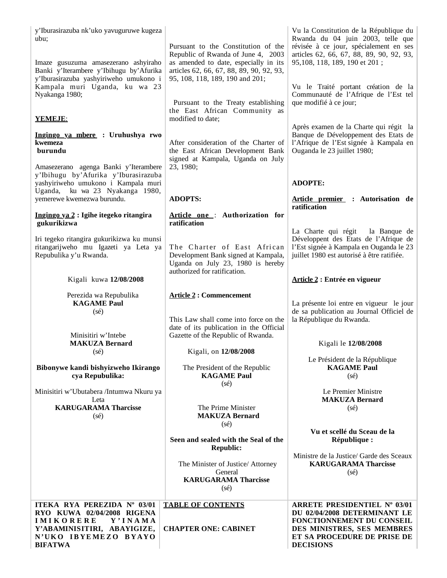| y'Iburasirazuba nk'uko yavuguruwe kugeza<br>ubu:<br>Imaze gusuzuma amasezerano ashyiraho<br>Banki y'Iterambere y'Ibihugu by'Afurika<br>y'Iburasirazuba yashyiriweho umukono i | Pursuant to the Constitution of the<br>Republic of Rwanda of June 4, 2003<br>as amended to date, especially in its<br>articles 62, 66, 67, 88, 89, 90, 92, 93,<br>95, 108, 118, 189, 190 and 201; | Vu la Constitution de la République du<br>Rwanda du 04 juin 2003, telle que<br>révisée à ce jour, spécialement en ses<br>articles 62, 66, 67, 88, 89, 90, 92, 93,<br>95,108, 118, 189, 190 et 201; |
|-------------------------------------------------------------------------------------------------------------------------------------------------------------------------------|---------------------------------------------------------------------------------------------------------------------------------------------------------------------------------------------------|----------------------------------------------------------------------------------------------------------------------------------------------------------------------------------------------------|
| Kampala muri Uganda, ku wa 23<br>Nyakanga 1980;<br><b>YEMEJE:</b>                                                                                                             | Pursuant to the Treaty establishing<br>the East African Community as<br>modified to date;                                                                                                         | Vu le Traité portant création de la<br>Communauté de l'Afrique de l'Est tel<br>que modifié à ce jour;                                                                                              |
| Ingingo ya mbere : Uruhushya rwo<br>kwemeza<br>burundu<br>Amasezerano agenga Banki y'Iterambere                                                                               | After consideration of the Charter of<br>the East African Development Bank<br>signed at Kampala, Uganda on July<br>23, 1980;                                                                      | Après examen de la Charte qui régit la<br>Banque de Développement des Etats de<br>l'Afrique de l'Est signée à Kampala en<br>Ouganda le 23 juillet 1980;                                            |
| y'Ibihugu by'Afurika y'Iburasirazuba<br>yashyiriweho umukono i Kampala muri                                                                                                   |                                                                                                                                                                                                   | <b>ADOPTE:</b>                                                                                                                                                                                     |
| Uganda, ku wa 23 Nyakanga 1980,<br>yemerewe kwemezwa burundu.                                                                                                                 | <b>ADOPTS:</b>                                                                                                                                                                                    | Article premier : Autorisation de<br>ratification                                                                                                                                                  |
| <u> Ingingo ya 2</u> : Igihe itegeko ritangira<br>gukurikizwa                                                                                                                 | Article one: Authorization for<br>ratification                                                                                                                                                    |                                                                                                                                                                                                    |
| Iri tegeko ritangira gukurikizwa ku munsi<br>ritangarijweho mu Igazeti ya Leta ya<br>Repubulika y'u Rwanda.                                                                   | The Charter of East African<br>Development Bank signed at Kampala,<br>Uganda on July 23, 1980 is hereby                                                                                           | La Charte qui régit<br>la Banque de<br>Développent des Etats de l'Afrique de<br>l'Est signée à Kampala en Ouganda le 23<br>juillet 1980 est autorisé à être ratifiée.                              |
| Kigali kuwa 12/08/2008                                                                                                                                                        | authorized for ratification.                                                                                                                                                                      | Article 2 : Entrée en vigueur                                                                                                                                                                      |
| Perezida wa Repubulika<br><b>KAGAME Paul</b><br>$(s\acute{e})$<br>Minisitiri w'Intebe                                                                                         | <b>Article 2: Commencement</b><br>This Law shall come into force on the<br>date of its publication in the Official<br>Gazette of the Republic of Rwanda.                                          | La présente loi entre en vigueur le jour<br>de sa publication au Journal Officiel de<br>la République du Rwanda.                                                                                   |
| <b>MAKUZA Bernard</b><br>$(s\acute{e})$                                                                                                                                       | Kigali, on 12/08/2008                                                                                                                                                                             | Kigali le 12/08/2008                                                                                                                                                                               |
| Bibonywe kandi bishyizweho Ikirango<br>cya Repubulika:                                                                                                                        | The President of the Republic<br><b>KAGAME Paul</b>                                                                                                                                               | Le Président de la République<br><b>KAGAME Paul</b><br>$(s\acute{e})$                                                                                                                              |
| Minisitiri w'Ubutabera /Intumwa Nkuru ya<br>Leta<br><b>KARUGARAMA Tharcisse</b><br>(sé)                                                                                       | $(s\acute{e})$<br>The Prime Minister<br><b>MAKUZA Bernard</b><br>$(s\acute{e})$                                                                                                                   | Le Premier Ministre<br><b>MAKUZA Bernard</b><br>$(s\acute{e})$                                                                                                                                     |
|                                                                                                                                                                               | Seen and sealed with the Seal of the<br><b>Republic:</b>                                                                                                                                          | Vu et scellé du Sceau de la<br>République :                                                                                                                                                        |
|                                                                                                                                                                               | The Minister of Justice/ Attorney<br>General<br><b>KARUGARAMA Tharcisse</b><br>$(s\acute{e})$                                                                                                     | Ministre de la Justice/ Garde des Sceaux<br><b>KARUGARAMA Tharcisse</b><br>$(s\acute{e})$                                                                                                          |
| ITEKA RYA PEREZIDA Nº 03/01<br>RYO KUWA 02/04/2008 RIGENA<br><b>IMIKORERE</b><br>Y'INAMA<br>Y'ABAMINISITIRI, ABAYIGIZE,<br>N'UKO IBYEMEZO BYAYO<br><b>BIFATWA</b>             | <b>TABLE OF CONTENTS</b><br><b>CHAPTER ONE: CABINET</b>                                                                                                                                           | <b>ARRETE PRESIDENTIEL Nº 03/01</b><br>DU 02/04/2008 DETERMINANT LE<br>FONCTIONNEMENT DU CONSEIL<br>DES MINISTRES, SES MEMBRES<br>ET SA PROCEDURE DE PRISE DE<br><b>DECISIONS</b>                  |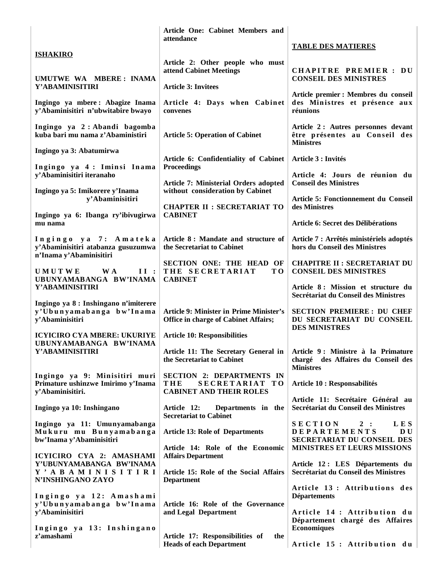|                                                                                         | Article One: Cabinet Members and<br>attendance                                              |                                                                                                                                      |
|-----------------------------------------------------------------------------------------|---------------------------------------------------------------------------------------------|--------------------------------------------------------------------------------------------------------------------------------------|
| <b>ISHAKIRO</b>                                                                         |                                                                                             | <b>TABLE DES MATIERES</b>                                                                                                            |
| UMUTWE WA MBERE: INAMA                                                                  | Article 2: Other people who must<br>attend Cabinet Meetings                                 | <b>CHAPITRE PREMIER: DU</b><br><b>CONSEIL DES MINISTRES</b>                                                                          |
| Y'ABAMINISITIRI                                                                         | <b>Article 3: Invitees</b>                                                                  |                                                                                                                                      |
| Ingingo ya mbere: Abagize Inama<br>y'Abaminisitiri n'ubwitabire bwayo                   | Article 4: Days when Cabinet<br>convenes                                                    | Article premier : Membres du conseil<br>des Ministres et présence aux<br>réunions                                                    |
| Ingingo ya 2: Abandi bagomba<br>kuba bari mu nama z'Abaministiri                        | <b>Article 5: Operation of Cabinet</b>                                                      | Article 2: Autres personnes devant<br>être présentes au Conseil des<br><b>Ministres</b>                                              |
| Ingingo ya 3: Abatumirwa                                                                | Article 6: Confidentiality of Cabinet                                                       | Article 3 : Invités                                                                                                                  |
| Ingingo ya 4: Iminsi Inama                                                              | <b>Proceedings</b>                                                                          |                                                                                                                                      |
| y'Abaminisitiri iteranaho<br>Ingingo ya 5: Imikorere y'Inama                            | Article 7: Ministerial Orders adopted<br>without consideration by Cabinet                   | Article 4: Jours de réunion du<br><b>Conseil des Ministres</b>                                                                       |
| y'Abaminisitiri                                                                         | <b>CHAPTER II : SECRETARIAT TO</b>                                                          | Article 5: Fonctionnement du Conseil<br>des Ministres                                                                                |
| Ingingo ya 6: Ibanga ry'ibivugirwa<br>mu nama                                           | <b>CABINET</b>                                                                              | Article 6: Secret des Délibérations                                                                                                  |
| Ingingo ya 7: Amateka<br>y'Abaminisitiri atabanza gusuzumwa<br>n'Inama y'Abaminisitiri  | Article 8 : Mandate and structure of<br>the Secretariat to Cabinet                          | Article 7 : Arrêtés ministériels adoptés<br>hors du Conseil des Ministres                                                            |
| <b>UMUTWE</b><br>W A<br>II:<br>UBUNYAMABANGA BW'INAMA                                   | SECTION ONE: THE HEAD OF<br>THE SECRETARIAT<br>T <sub>0</sub><br><b>CABINET</b>             | <b>CHAPITRE II : SECRETARIAT DU</b><br><b>CONSEIL DES MINISTRES</b>                                                                  |
| Y'ABAMINISITIRI                                                                         |                                                                                             | Article 8: Mission et structure du<br>Secrétariat du Conseil des Ministres                                                           |
| Ingingo ya 8 : Inshingano n'imiterere<br>y'Ubunyamabanga bw'Inama<br>y'Abaminisitiri    | Article 9: Minister in Prime Minister's<br><b>Office in charge of Cabinet Affairs;</b>      | <b>SECTION PREMIERE: DU CHEF</b><br>DU SECRETARIAT DU CONSEIL<br><b>DES MINISTRES</b>                                                |
| <b>ICYICIRO CYA MBERE: UKURIYE</b><br>UBUNYAMABANGA BW'INAMA                            | <b>Article 10: Responsibilities</b>                                                         |                                                                                                                                      |
| Y'ABAMINISITIRI                                                                         | the Secretariat to Cabinet                                                                  | Article 11: The Secretary General in   Article 9 : Ministre à la Primature<br>chargé des Affaires du Conseil des<br><b>Ministres</b> |
| Ingingo ya 9: Minisitiri muri<br>Primature ushinzwe Imirimo y'Inama<br>y'Abaminisitiri. | <b>SECTION 2: DEPARTMENTS IN</b><br>THE<br>SECRETARIAT TO<br><b>CABINET AND THEIR ROLES</b> | Article 10 : Responsabilités                                                                                                         |
|                                                                                         |                                                                                             | Article 11: Secrétaire Général au<br>Secrétariat du Conseil des Ministres                                                            |
| Ingingo ya 10: Inshingano                                                               | Article 12:<br>Departments in the<br><b>Secretariat to Cabinet</b>                          |                                                                                                                                      |
| Ingingo ya 11: Umunyamabanga<br>Mukuru mu Bunyamabanga<br>bw'Inama y'Abaminisitiri      | <b>Article 13: Role of Departments</b>                                                      | <b>SECTION</b><br>2:<br>L E S<br><b>DEPARTEMENTS</b><br>D U<br>SECRETARIAT DU CONSEIL DES                                            |
| ICYICIRO CYA 2: AMASHAMI                                                                | Article 14: Role of the Economic<br><b>Affairs Department</b>                               | MINISTRES ET LEURS MISSIONS                                                                                                          |
| Y'UBUNYAMABANGA BW'INAMA<br>Y ' A B A M I N I S I T I R I<br>N'INSHINGANO ZAYO          | Article 15: Role of the Social Affairs<br><b>Department</b>                                 | Article 12 : LES Départements du<br>Secrétariat du Conseil des Ministres                                                             |
| Ingingo ya 12: Amashami                                                                 |                                                                                             | Article 13 : Attributions des<br><b>Départements</b>                                                                                 |
| y'Ubunyamabanga bw'Inama<br>y'Abaminisitiri                                             | Article 16: Role of the Governance<br>and Legal Department                                  | Article 14 : Attribution du                                                                                                          |
| Ingingo ya 13: Inshingano<br>z'amashami                                                 | Article 17: Responsibilities of<br>the                                                      | Département chargé des Affaires<br><b>Economiques</b>                                                                                |
|                                                                                         | <b>Heads of each Department</b>                                                             | Article 15 : Attribution du                                                                                                          |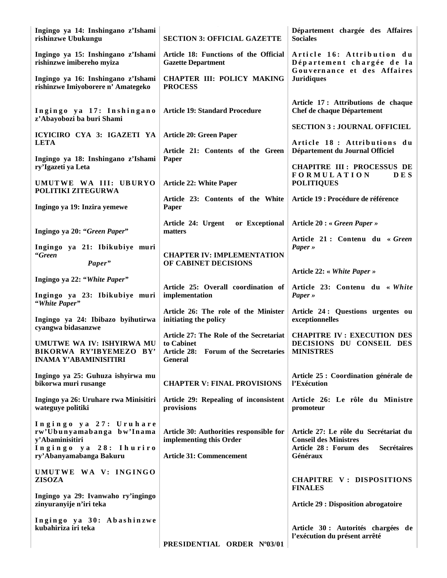| Ingingo ya 14: Inshingano z'Ishami<br>rishinzwe Ubukungu                                                                    | <b>SECTION 3: OFFICIAL GAZETTE</b>                                                                                          | Département chargée des Affaires<br><b>Sociales</b>                                                                               |
|-----------------------------------------------------------------------------------------------------------------------------|-----------------------------------------------------------------------------------------------------------------------------|-----------------------------------------------------------------------------------------------------------------------------------|
| Ingingo ya 15: Inshingano z'Ishami<br>rishinzwe imibereho myiza                                                             | Article 18: Functions of the Official<br><b>Gazette Department</b>                                                          | Article 16: Attribution du<br>Département chargée de la                                                                           |
| Ingingo ya 16: Inshingano z'Ishami<br>rishinzwe Imiyoborere n' Amategeko                                                    | <b>CHAPTER III: POLICY MAKING</b><br><b>PROCESS</b>                                                                         | Gouvernance et des Affaires<br><b>Juridiques</b>                                                                                  |
| Ingingo ya 17: Inshingano<br>z'Abayobozi ba buri Shami                                                                      | <b>Article 19: Standard Procedure</b>                                                                                       | Article 17: Attributions de chaque<br>Chef de chaque Département                                                                  |
| ICYICIRO CYA 3: IGAZETI YA                                                                                                  | <b>Article 20: Green Paper</b>                                                                                              | <b>SECTION 3 : JOURNAL OFFICIEL</b>                                                                                               |
| <b>LETA</b>                                                                                                                 | Article 21: Contents of the Green                                                                                           | Article 18 : Attributions du<br>Département du Journal Officiel                                                                   |
| Ingingo ya 18: Inshingano z'Ishami<br>ry'Igazeti ya Leta                                                                    | Paper                                                                                                                       | <b>CHAPITRE III: PROCESSUS DE</b><br><b>FORMULATION</b><br><b>DES</b>                                                             |
| UMUTWE WA III: UBURYO<br>POLITIKI ZITEGURWA                                                                                 | <b>Article 22: White Paper</b>                                                                                              | <b>POLITIQUES</b>                                                                                                                 |
| Ingingo ya 19: Inzira yemewe                                                                                                | Article 23: Contents of the White<br>Paper                                                                                  | Article 19 : Procédure de référence                                                                                               |
| Ingingo ya 20: "Green Paper"                                                                                                | or Exceptional<br>Article 24: Urgent<br>matters                                                                             | Article 20 : « Green Paper »                                                                                                      |
| Ingingo ya 21: Ibikubiye muri<br>"Green                                                                                     | <b>CHAPTER IV: IMPLEMENTATION</b>                                                                                           | Article 21: Contenu du « Green<br>$Paper \rightarrow$                                                                             |
| Paper"                                                                                                                      | OF CABINET DECISIONS                                                                                                        | Article 22: « White Paper »                                                                                                       |
| Ingingo ya 22: "White Paper"<br>Ingingo ya 23: Ibikubiye muri                                                               | Article 25: Overall coordination of<br>implementation                                                                       | Article 23: Contenu du « White<br>$Paper \rightarrow$                                                                             |
| "White Paper"<br>Ingingo ya 24: Ibibazo byihutirwa<br>cyangwa bidasanzwe                                                    | Article 26: The role of the Minister<br>initiating the policy                                                               | Article 24: Questions urgentes ou<br>exceptionnelles                                                                              |
| UMUTWE WA IV: ISHYIRWA MU<br>BIKORWA RY'IBYEMEZO BY'<br><b>INAMA Y'ABAMINISITIRI</b>                                        | Article 27: The Role of the Secretariat<br>to Cabinet<br>Article 28: Forum of the Secretaries   MINISTRES<br><b>General</b> | <b>CHAPITRE IV: EXECUTION DES</b><br>DECISIONS DU CONSEIL DES                                                                     |
| Ingingo ya 25: Guhuza ishyirwa mu<br>bikorwa muri rusange                                                                   | <b>CHAPTER V: FINAL PROVISIONS</b>                                                                                          | Article 25 : Coordination générale de<br>l'Exécution                                                                              |
| Ingingo ya 26: Uruhare rwa Minisitiri<br>wateguye politiki                                                                  | Article 29: Repealing of inconsistent<br>provisions                                                                         | Article 26: Le rôle du Ministre<br>promoteur                                                                                      |
| Ingingo ya 27: Uruhare<br>rw'Ubunyamabanga bw'Inama<br>y'Abaminisitiri<br>Ingingo ya 28: Ihuriro<br>ry'Abanyamabanga Bakuru | Article 30: Authorities responsible for<br>implementing this Order<br><b>Article 31: Commencement</b>                       | Article 27: Le rôle du Secrétariat du<br><b>Conseil des Ministres</b><br>Article 28 : Forum des<br><b>Secrétaires</b><br>Généraux |
| UMUTWE WA V: INGINGO                                                                                                        |                                                                                                                             |                                                                                                                                   |
| <b>ZISOZA</b>                                                                                                               |                                                                                                                             | CHAPITRE V: DISPOSITIONS<br><b>FINALES</b>                                                                                        |
| Ingingo ya 29: Ivanwaho ry'ingingo<br>zinyuranyije n'iri teka                                                               |                                                                                                                             | <b>Article 29 : Disposition abrogatoire</b>                                                                                       |
| Ingingo ya 30: Abashinzwe<br>kubahiriza iri teka                                                                            | PRESIDENTIAL ORDER Nº03/01                                                                                                  | Article 30 : Autorités chargées de<br>l'exécution du présent arrêté                                                               |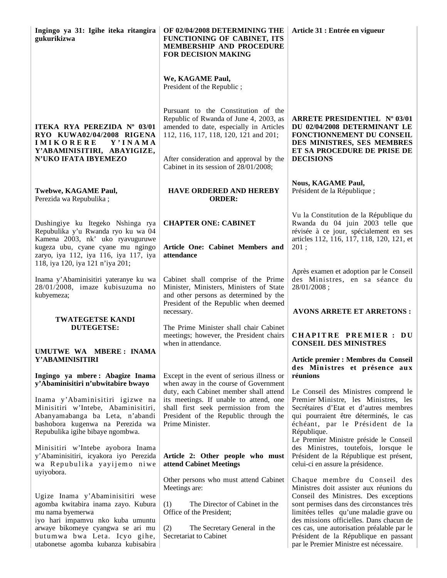| Ingingo ya 31: Igihe iteka ritangira<br>gukurikizwa                                                                                                                               | OF 02/04/2008 DETERMINING THE<br>FUNCTIONING OF CABINET, ITS<br><b>MEMBERSHIP AND PROCEDURE</b><br><b>FOR DECISION MAKING</b>                                                        | Article 31 : Entrée en vigueur                                                                                                                                                                                                                               |
|-----------------------------------------------------------------------------------------------------------------------------------------------------------------------------------|--------------------------------------------------------------------------------------------------------------------------------------------------------------------------------------|--------------------------------------------------------------------------------------------------------------------------------------------------------------------------------------------------------------------------------------------------------------|
|                                                                                                                                                                                   | We, KAGAME Paul,<br>President of the Republic;                                                                                                                                       |                                                                                                                                                                                                                                                              |
| ITEKA RYA PEREZIDA Nº 03/01<br>RYO KUWA02/04/2008 RIGENA<br><b>IMIKORERE</b><br>Y'INAMA                                                                                           | Pursuant to the Constitution of the<br>Republic of Rwanda of June 4, 2003, as<br>amended to date, especially in Articles<br>112, 116, 117, 118, 120, 121 and 201;                    | ARRETE PRESIDENTIEL Nº 03/01<br>DU 02/04/2008 DETERMINANT LE<br>FONCTIONNEMENT DU CONSEIL<br>DES MINISTRES, SES MEMBRES                                                                                                                                      |
| Y'ABAMINISITIRI, ABAYIGIZE,<br>N'UKO IFATA IBYEMEZO                                                                                                                               | After consideration and approval by the<br>Cabinet in its session of 28/01/2008;                                                                                                     | ET SA PROCEDURE DE PRISE DE<br><b>DECISIONS</b>                                                                                                                                                                                                              |
| Twebwe, KAGAME Paul,<br>Perezida wa Repubulika;                                                                                                                                   | <b>HAVE ORDERED AND HEREBY</b><br><b>ORDER:</b>                                                                                                                                      | <b>Nous, KAGAME Paul,</b><br>Président de la République;                                                                                                                                                                                                     |
| Dushingiye ku Itegeko Nshinga rya<br>Repubulika y'u Rwanda ryo ku wa 04                                                                                                           | <b>CHAPTER ONE: CABINET</b>                                                                                                                                                          | Vu la Constitution de la République du<br>Rwanda du 04 juin 2003 telle que<br>révisée à ce jour, spécialement en ses                                                                                                                                         |
| Kamena 2003, nk' uko ryavuguruwe<br>kugeza ubu, cyane cyane mu ngingo<br>zaryo, iya 112, iya 116, iya 117, iya<br>118, iya 120, iya 121 n'iya 201;                                | Article One: Cabinet Members and<br>attendance                                                                                                                                       | articles 112, 116, 117, 118, 120, 121, et<br>201;                                                                                                                                                                                                            |
| Inama y'Abaminisitiri yateranye ku wa<br>28/01/2008, imaze kubisuzuma no<br>kubyemeza;                                                                                            | Cabinet shall comprise of the Prime<br>Minister, Ministers, Ministers of State<br>and other persons as determined by the<br>President of the Republic when deemed                    | Après examen et adoption par le Conseil<br>des Ministres, en sa séance du<br>28/01/2008;                                                                                                                                                                     |
| <b>TWATEGETSE KANDI</b>                                                                                                                                                           | necessary.                                                                                                                                                                           | <b>AVONS ARRETE ET ARRETONS:</b>                                                                                                                                                                                                                             |
| <b>DUTEGETSE:</b>                                                                                                                                                                 | The Prime Minister shall chair Cabinet<br>meetings; however, the President chairs<br>when in attendance.                                                                             | <b>CHAPITRE PREMIER : DU</b><br><b>CONSEIL DES MINISTRES</b>                                                                                                                                                                                                 |
| UMUTWE WA MBERE: INAMA<br>Y'ABAMINISITIRI                                                                                                                                         |                                                                                                                                                                                      | Article premier : Membres du Conseil<br>des Ministres et présence aux                                                                                                                                                                                        |
| Ingingo ya mbere: Abagize Inama<br>y'Abaminisitiri n'ubwitabire bwayo                                                                                                             | Except in the event of serious illness or<br>when away in the course of Government                                                                                                   | réunions                                                                                                                                                                                                                                                     |
| Inama y'Abaminisitiri igizwe na<br>Minisitiri w'Intebe, Abaminisitiri,<br>Abanyamabanga ba Leta, n'abandi<br>bashobora kugenwa na Perezida wa<br>Repubulika igihe bibaye ngombwa. | duty, each Cabinet member shall attend<br>its meetings. If unable to attend, one<br>shall first seek permission from the<br>President of the Republic through the<br>Prime Minister. | Le Conseil des Ministres comprend le<br>Premier Ministre, les Ministres, les<br>Secrétaires d'Etat et d'autres membres<br>qui pourraient être déterminés, le cas<br>échéant, par le Président de la<br>République.<br>Le Premier Ministre préside le Conseil |
| Minisitiri w'Intebe ayobora Inama<br>y'Abaminisitiri, icyakora iyo Perezida<br>wa Repubulika yayijemo niwe<br>uyiyobora.                                                          | Article 2: Other people who must<br>attend Cabinet Meetings                                                                                                                          | des Ministres, toutefois, lorsque le<br>Président de la République est présent,<br>celui-ci en assure la présidence.                                                                                                                                         |
|                                                                                                                                                                                   | Other persons who must attend Cabinet<br>Meetings are:                                                                                                                               | Chaque membre du Conseil des<br>Ministres doit assister aux réunions du                                                                                                                                                                                      |
| Ugize Inama y'Abaminisitiri wese<br>agomba kwitabira inama zayo. Kubura<br>mu nama byemerwa<br>iyo hari impamvu nko kuba umuntu                                                   | (1)<br>The Director of Cabinet in the<br>Office of the President;                                                                                                                    | Conseil des Ministres. Des exceptions<br>sont permises dans des circonstances très<br>limitées telles qu'une maladie grave ou<br>des missions officielles. Dans chacun de                                                                                    |
| arwaye bikomeye cyangwa se ari mu<br>butumwa bwa Leta. Icyo gihe,<br>utabonetse agomba kubanza kubisabira                                                                         | (2)<br>The Secretary General in the<br>Secretariat to Cabinet                                                                                                                        | ces cas, une autorisation préalable par le<br>Président de la République en passant<br>par le Premier Ministre est nécessaire.                                                                                                                               |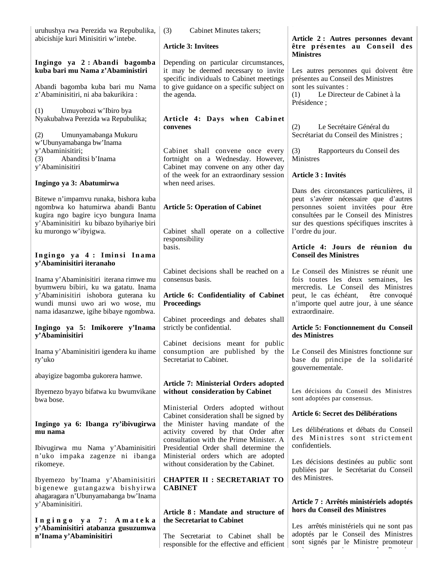| uruhushya rwa Perezida wa Repubulika,                                                                                                                                                              | Cabinet Minutes takers;<br>(3)                                                                                             |                                                                                                                                                                                                                                      |
|----------------------------------------------------------------------------------------------------------------------------------------------------------------------------------------------------|----------------------------------------------------------------------------------------------------------------------------|--------------------------------------------------------------------------------------------------------------------------------------------------------------------------------------------------------------------------------------|
| abicishije kuri Minisitiri w'intebe.                                                                                                                                                               | <b>Article 3: Invitees</b>                                                                                                 | Article 2: Autres personnes devant<br>être présentes au Conseil des<br><b>Ministres</b>                                                                                                                                              |
| Ingingo ya 2: Abandi bagomba<br>kuba bari mu Nama z'Abaministiri                                                                                                                                   | Depending on particular circumstances,<br>it may be deemed necessary to invite                                             | Les autres personnes qui doivent être                                                                                                                                                                                                |
| Abandi bagomba kuba bari mu Nama<br>z'Abaminisitiri, ni aba bakurikira :                                                                                                                           | specific individuals to Cabinet meetings<br>to give guidance on a specific subject on<br>the agenda.                       | présentes au Conseil des Ministres<br>sont les suivantes :<br>Le Directeur de Cabinet à la<br>(1)<br>Présidence;                                                                                                                     |
| Umuyobozi w'Ibiro bya<br>(1)<br>Nyakubahwa Perezida wa Repubulika;                                                                                                                                 | Article 4: Days when Cabinet<br>convenes                                                                                   | Le Secrétaire Général du<br>(2)                                                                                                                                                                                                      |
| Umunyamabanga Mukuru<br>(2)<br>w'Ubunyamabanga bw'Inama                                                                                                                                            |                                                                                                                            | Secrétariat du Conseil des Ministres;                                                                                                                                                                                                |
| y'Abaminisitiri;<br>Abanditsi b'Inama<br>(3)<br>y'Abaminisitiri                                                                                                                                    | Cabinet shall convene once every<br>fortnight on a Wednesday. However,<br>Cabinet may convene on any other day             | (3)<br>Rapporteurs du Conseil des<br>Ministres                                                                                                                                                                                       |
| Ingingo ya 3: Abatumirwa                                                                                                                                                                           | of the week for an extraordinary session<br>when need arises.                                                              | <b>Article 3 : Invités</b>                                                                                                                                                                                                           |
| Bitewe n'impamvu runaka, bishora kuba<br>ngombwa ko hatumirwa abandi Bantu<br>kugira ngo bagire icyo bungura Inama<br>y'Abaminisitiri ku bibazo byihariye biri<br>ku murongo w'ibyigwa.            | <b>Article 5: Operation of Cabinet</b><br>Cabinet shall operate on a collective<br>responsibility                          | Dans des circonstances particulières, il<br>peut s'avérer nécessaire que d'autres<br>personnes soient invitées pour être<br>consultées par le Conseil des Ministres<br>sur des questions spécifiques inscrites à<br>l'ordre du jour. |
| Ingingo ya 4: Iminsi Inama<br>y'Abaminisitiri iteranaho                                                                                                                                            | basis.                                                                                                                     | Article 4: Jours de réunion du<br><b>Conseil des Ministres</b>                                                                                                                                                                       |
| Inama y'Abaminisitiri iterana rimwe mu<br>byumweru bibiri, ku wa gatatu. Inama<br>y'Abaminisitiri ishobora guterana ku<br>wundi munsi uwo ari wo wose, mu<br>nama idasanzwe, igihe bibaye ngombwa. | Cabinet decisions shall be reached on a<br>consensus basis.<br>Article 6: Confidentiality of Cabinet<br><b>Proceedings</b> | Le Conseil des Ministres se réunit une<br>fois toutes les deux semaines, les<br>mercredis. Le Conseil des Ministres<br>peut, le cas échéant,<br>être convoqué<br>n'importe quel autre jour, à une séance<br>extraordinaire.          |
| Ingingo ya 5: Imikorere y'Inama<br>y'Abaminisitiri                                                                                                                                                 | Cabinet proceedings and debates shall<br>strictly be confidential.                                                         | Article 5: Fonctionnement du Conseil<br>des Ministres                                                                                                                                                                                |
| Inama y'Abaminisitiri igendera ku ihame<br>ry'uko                                                                                                                                                  | Cabinet decisions meant for public<br>consumption are published by the<br>Secretariat to Cabinet.                          | Le Conseil des Ministres fonctionne sur<br>base du principe de la solidarité<br>gouvernementale.                                                                                                                                     |
| abayigize bagomba gukorera hamwe.                                                                                                                                                                  | <b>Article 7: Ministerial Orders adopted</b>                                                                               |                                                                                                                                                                                                                                      |
| Ibyemezo byayo bifatwa ku bwumvikane<br>bwa bose.                                                                                                                                                  | without consideration by Cabinet                                                                                           | Les décisions du Conseil des Ministres<br>sont adoptées par consensus.                                                                                                                                                               |
|                                                                                                                                                                                                    | Ministerial Orders adopted without<br>Cabinet consideration shall be signed by                                             | Article 6: Secret des Délibérations                                                                                                                                                                                                  |
| Ingingo ya 6: Ibanga ry'ibivugirwa<br>mu nama                                                                                                                                                      | the Minister having mandate of the<br>activity covered by that Order after<br>consultation with the Prime Minister. A      | Les délibérations et débats du Conseil<br>des Ministres sont strictement                                                                                                                                                             |
| Ibivugirwa mu Nama y'Abaminisitiri<br>n'uko impaka zagenze ni ibanga<br>rikomeye.                                                                                                                  | Presidential Order shall determine the<br>Ministerial orders which are adopted<br>without consideration by the Cabinet.    | confidentiels.<br>Les décisions destinées au public sont                                                                                                                                                                             |
| Ibyemezo by'Inama y'Abaminisitiri<br>bigenewe gutangazwa bishyirwa                                                                                                                                 | <b>CHAPTER II : SECRETARIAT TO</b><br><b>CABINET</b>                                                                       | publiées par le Secrétariat du Conseil<br>des Ministres.                                                                                                                                                                             |
| ahagaragara n'Ubunyamabanga bw'Inama<br>y'Abaminisitiri.                                                                                                                                           |                                                                                                                            | Article 7 : Arrêtés ministériels adoptés<br>hors du Conseil des Ministres                                                                                                                                                            |
| Ingingo ya 7: Amateka                                                                                                                                                                              | Article 8: Mandate and structure of<br>the Secretariat to Cabinet                                                          | Les arrêtés ministériels qui ne sont pas                                                                                                                                                                                             |
| y'Abaminisitiri atabanza gusuzumwa<br>n'Inama y'Abaminisitiri                                                                                                                                      | The Secretariat to Cabinet shall be<br>responsible for the effective and efficient                                         | adoptés par le Conseil des Ministres<br>sont signés par le Ministre promoteur                                                                                                                                                        |

è l'article de l'article de l'article de l'article de l'article de l'article de l'article de l'article de l'ar<br>L'article de l'article de l'article de l'article de l'article de l'article de l'article de l'article de l'arti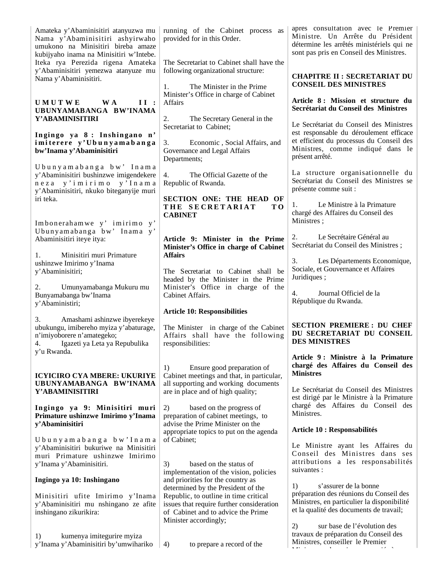| Amateka y'Abaminisitiri atanyuzwa mu<br>Nama y'Abaminisitiri ashyirwaho<br>umukono na Minisitiri bireba amaze<br>kubijyaho inama na Minisitiri w'Intebe.<br>Iteka rya Perezida rigena Amateka<br>y'Abaminisitiri yemezwa atanyuze mu<br>Nama y'Abaminisitiri.                                                                 | running of the Cabinet process as<br>provided for in this Order.<br>The Secretariat to Cabinet shall have the<br>following organizational structure:<br>The Minister in the Prime<br>1.                                                                                                                                                                          | après consultation avec le Premier<br>Ministre. Un Arrête du Président<br>détermine les arrêtés ministériels qui ne<br>sont pas pris en Conseil des Ministres.<br><b>CHAPITRE II : SECRETARIAT DU</b><br><b>CONSEIL DES MINISTRES</b>                                                                                                                                                                            |
|-------------------------------------------------------------------------------------------------------------------------------------------------------------------------------------------------------------------------------------------------------------------------------------------------------------------------------|------------------------------------------------------------------------------------------------------------------------------------------------------------------------------------------------------------------------------------------------------------------------------------------------------------------------------------------------------------------|------------------------------------------------------------------------------------------------------------------------------------------------------------------------------------------------------------------------------------------------------------------------------------------------------------------------------------------------------------------------------------------------------------------|
| <b>UMUTWE</b><br><b>WA</b><br>II:<br>UBUNYAMABANGA BW'INAMA<br>Y'ABAMINISITIRI<br>Ingingo ya 8: Inshingano n'<br>imiterere y'Ubunyamabanga<br>bw'Inama y'Abaminisitiri<br>Ubunyamabanga bw' Inama<br>y'Abaminisitiri bushinzwe imigendekere<br>neza y'imirimo y'Inama<br>y'Abaminisitiri, nkuko biteganyije muri<br>iri teka. | Minister's Office in charge of Cabinet<br>Affairs<br>The Secretary General in the<br>2.<br>Secretariat to Cabinet;<br>3.<br>Economic, Social Affairs, and<br>Governance and Legal Affairs<br>Departments;<br>4.<br>The Official Gazette of the<br>Republic of Rwanda.<br>SECTION ONE: THE HEAD OF<br>THE SECRETARIAT<br>TO <sub>1</sub>                          | Article 8: Mission et structure du<br>Secrétariat du Conseil des Ministres<br>Le Secrétariat du Conseil des Ministres<br>est responsable du déroulement efficace<br>et efficient du processus du Conseil des<br>Ministres, comme indiqué dans le<br>présent arrêté.<br>La structure organisationnelle du<br>Secrétariat du Conseil des Ministres se<br>présente comme suit :<br>Le Ministre à la Primature<br>1. |
| Imbonerahamwe y' imirimo y'<br>Ubunyamabanga bw' Inama y'<br>Abaminisitiri iteye itya:<br>Minisitiri muri Primature<br>1.<br>ushinzwe Imirimo y'Inama<br>y'Abaminisitiri;<br>Umunyamabanga Mukuru mu<br>2.<br>Bunyamabanga bw'Inama                                                                                           | <b>CABINET</b><br>Article 9: Minister in the Prime<br>Minister's Office in charge of Cabinet<br><b>Affairs</b><br>The Secretariat to Cabinet shall be<br>headed by the Minister in the Prime<br>Minister's Office in charge of the<br>Cabinet Affairs.                                                                                                           | chargé des Affaires du Conseil des<br>Ministres;<br>Le Secrétaire Général au<br>2.<br>Secrétariat du Conseil des Ministres;<br>3.<br>Les Départements Economique,<br>Sociale, et Gouvernance et Affaires<br>Juridiques;<br>Journal Officiel de la<br>4.<br>République du Rwanda.                                                                                                                                 |
| y'Abaministiri;<br>Amashami ashinzwe ibyerekeye<br>3.<br>ubukungu, imibereho myiza y'abaturage,<br>n'imiyoborere n'amategeko;<br>Igazeti ya Leta ya Repubulika<br>4.<br>y'u Rwanda.                                                                                                                                           | <b>Article 10: Responsibilities</b><br>The Minister in charge of the Cabinet<br>Affairs shall have the following<br>responsibilities:                                                                                                                                                                                                                            | <b>SECTION PREMIERE: DU CHEF</b><br>DU SECRETARIAT DU CONSEIL<br><b>DES MINISTRES</b><br>Article 9: Ministre à la Primature                                                                                                                                                                                                                                                                                      |
| <b>ICYICIRO CYA MBERE: UKURIYE</b><br>UBUNYAMABANGA BW'INAMA<br>Y'ABAMINISITIRI<br>Ingingo ya 9: Minisitiri muri<br>Primature ushinzwe Imirimo y'Inama<br>y'Abaminisitiri                                                                                                                                                     | Ensure good preparation of<br>1)<br>Cabinet meetings and that, in particular,<br>all supporting and working documents<br>are in place and of high quality;<br>2)<br>based on the progress of<br>preparation of cabinet meetings, to<br>advise the Prime Minister on the                                                                                          | chargé des Affaires du Conseil des<br><b>Ministres</b><br>Le Secrétariat du Conseil des Ministres<br>est dirigé par le Ministre à la Primature<br>chargé des Affaires du Conseil des<br>Ministres.                                                                                                                                                                                                               |
| Ubunyamabanga bw'Inama<br>y'Abaminisitiri bukuriwe na Minisitiri<br>muri Primature ushinzwe Imirimo<br>y'Inama y'Abaminisitiri.<br>Ingingo ya 10: Inshingano<br>Minisitiri ufite Imirimo y'Inama<br>y'Abaminisitiri mu nshingano ze afite<br>inshingano zikurikira:                                                           | appropriate topics to put on the agenda<br>of Cabinet;<br>based on the status of<br>3)<br>implementation of the vision, policies<br>and priorities for the country as<br>determined by the President of the<br>Republic, to outline in time critical<br>issues that require further consideration<br>of Cabinet and to advice the Prime<br>Minister accordingly; | Article 10 : Responsabilités<br>Le Ministre ayant les Affaires du<br>Conseil des Ministres dans ses<br>attributions a les responsabilités<br>suivantes :<br>1)<br>s'assurer de la bonne<br>préparation des réunions du Conseil des<br>Ministres, en particulier la disponibilité<br>et la qualité des documents de travail;                                                                                      |
| kumenya imitegurire myiza<br>1)<br>y'Inama y'Abaminisitiri by'umwihariko                                                                                                                                                                                                                                                      | 4)<br>to prepare a record of the                                                                                                                                                                                                                                                                                                                                 | sur base de l'évolution des<br>2)<br>travaux de préparation du Conseil des<br>Ministres, conseiller le Premier                                                                                                                                                                                                                                                                                                   |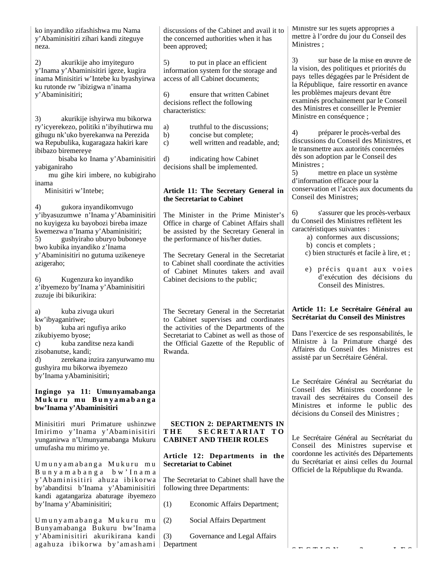ko inyandiko zifashishwa mu Nama y'Abaminisitiri zihari kandi ziteguye neza.

2) akurikije aho imyiteguro y'Inama y'Abaminisitiri igeze, kugira inama Minisitiri w'Intebe ku byashyirwa ku rutonde rw 'ibizigwa n'inama y'Abaminisitiri;

3) akurikije ishyirwa mu bikorwa ry'icyerekezo, politiki n'ibyihutirwa mu gihugu nk'uko byerekanwa na Perezida wa Repubulika, kugaragaza hakiri kare ibibazo biremereye

 bisaba ko Inama y'Abaminisitiri yabiganiraho

 mu gihe kiri imbere, no kubigiraho inama

Minisitiri w'Intebe;

4) gukora inyandikomvugo y'ibyasuzumwe n'Inama y'Abaminisitiri no kuyigeza ku bayobozi bireba imaze kwemezwa n'Inama y'Abaminisitiri; 5) gushyiraho uburyo buboneye bwo kubika inyandiko z'Inama y'Abaminisitiri no gutuma uzikeneye azigeraho;

6) Kugenzura ko inyandiko z'ibyemezo by'Inama y'Abaminisitiri zuzuje ibi bikurikira:

a) kuba zivuga ukuri kw'ibyaganiriwe; b) kuba ari ngufiya ariko zikubiyemo byose; c) kuba zanditse neza kandi zisobanutse, kandi; d) zerekana inzira zanyurwamo mu gushyira mu bikorwa ibyemezo by'Inama yAbaminisitiri;

#### **Ingingo ya 11: Umunyamabanga Mu k u ru m u B u n y a m a b a n g a bw'Inama y'Abaminisitiri**

Minisitiri muri Primature ushinzwe Imirimo y'Inama y'Abaminisitiri yunganirwa n'Umunyamabanga Mukuru umufasha mu mirimo ye.

Umunyamabanga Mukuru mu B u n y a m a b a n g a b w ' I n a m a y'Abaminisitiri ahuza ibikorwa by'abanditsi b'Inama y'Abaminisitiri kandi agatangariza abaturage ibyemezo by'Inama y'Abaminisitiri;

U munyamabanga Mukuru mu Bunyamabanga Bukuru bw'Inama y'Abaminisitiri akurikirana kandi agahuza ibikorwa by'amashami

discussions of the Cabinet and avail it to the concerned authorities when it has been approved;

5) to put in place an efficient information system for the storage and access of all Cabinet documents;

6) ensure that written Cabinet decisions reflect the following characteristics:

- a) truthful to the discussions;
- b) concise but complete;
- c) well written and readable, and;

d) indicating how Cabinet decisions shall be implemented.

#### **Article 11: The Secretary General in the Secretariat to Cabinet**

The Minister in the Prime Minister's Office in charge of Cabinet Affairs shall be assisted by the Secretary General in the performance of his/her duties.

The Secretary General in the Secretariat to Cabinet shall coordinate the activities of Cabinet Minutes takers and avail Cabinet decisions to the public;

The Secretary General in the Secretariat to Cabinet supervises and coordinates the activities of the Departments of the Secretariat to Cabinet as well as those of the Official Gazette of the Republic of Rwanda.

#### **SECTION 2: DEPARTMENTS IN T H E S E C R E T A R I A T T O CABINET AND THEIR ROLES**

#### **Article 12: Departments in the Secretariat to Cabinet**

The Secretariat to Cabinet shall have the following three Departments:

- (1) Economic Affairs Department;
- (2) Social Affairs Department

(3) Governance and Legal Affairs Department

Ministre sur les sujets appropriés à mettre à l'ordre du jour du Conseil des Ministres ;

3) sur base de la mise en œuvre de la vision, des politiques et priorités du pays telles dégagées par le Président de la République, faire ressortir en avance les problèmes majeurs devant être examinés prochainement par le Conseil des Ministres et conseiller le Premier Ministre en conséquence ;

4) préparer le procès-verbal des discussions du Conseil des Ministres, et le transmettre aux autorités concernées dès son adoption par le Conseil des Ministres ;

5) mettre en place un système d'information efficace pour la conservation et l'accès aux documents du Conseil des Ministres;

6) s'assurer que les procès-verbaux du Conseil des Ministres reflètent les caractéristiques suivantes :

- a) conformes aux discussions; b) concis et complets ;
- c) bien structurés et facile à lire, et ;
- e) précis quant aux voies d'exécution des décisions du Conseil des Ministres.

## **Article 11: Le Secrétaire Général au Secrétariat du Conseil des Ministres**

Dans l'exercice de ses responsabilités, le Ministre à la Primature chargé des Affaires du Conseil des Ministres est assisté par un Secrétaire Général.

Le Secrétaire Général au Secrétariat du Conseil des Ministres coordonne le travail des secrétaires du Conseil des Ministres et informe le public des décisions du Conseil des Ministres ;

Le Secrétaire Général au Secrétariat du Conseil des Ministres supervise et coordonne les activités des Départements du Secrétariat et ainsi celles du Journal Officiel de la République du Rwanda.

 $S = S = S + S + I$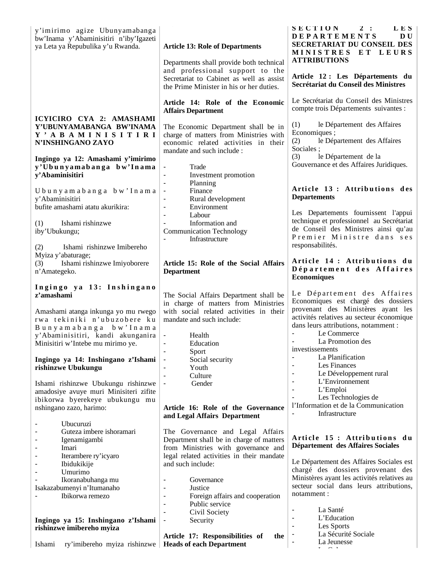| y'imirimo agize Ubunyamabanga<br>bw'Inama y'Abaminisitiri n'iby'Igazeti<br>ya Leta ya Repubulika y'u Rwanda.                                                                                                                                                                                                                                                                                                                            | <b>Article 13: Role of Departments</b><br>Departments shall provide both technical<br>and professional support to the<br>Secretariat to Cabinet as well as assist<br>the Prime Minister in his or her duties.                                                                                                                                                                                                                                                                                              | 2:<br>SECTION<br>LES.<br><b>DEPARTEMENTS</b><br>D U<br>SECRETARIAT DU CONSEIL DES<br><b>MINISTRES</b><br>ET LEURS<br><b>ATTRIBUTIONS</b><br>Article 12 : Les Départements du<br>Secrétariat du Conseil des Ministres                                                                                                                                                                                                                                                                                                |
|-----------------------------------------------------------------------------------------------------------------------------------------------------------------------------------------------------------------------------------------------------------------------------------------------------------------------------------------------------------------------------------------------------------------------------------------|------------------------------------------------------------------------------------------------------------------------------------------------------------------------------------------------------------------------------------------------------------------------------------------------------------------------------------------------------------------------------------------------------------------------------------------------------------------------------------------------------------|---------------------------------------------------------------------------------------------------------------------------------------------------------------------------------------------------------------------------------------------------------------------------------------------------------------------------------------------------------------------------------------------------------------------------------------------------------------------------------------------------------------------|
|                                                                                                                                                                                                                                                                                                                                                                                                                                         | Article 14: Role of the Economic<br><b>Affairs Department</b>                                                                                                                                                                                                                                                                                                                                                                                                                                              | Le Secrétariat du Conseil des Ministres<br>compte trois Départements suivantes :                                                                                                                                                                                                                                                                                                                                                                                                                                    |
| ICYICIRO CYA 2: AMASHAMI<br>Y'UBUNYAMABANGA BW'INAMA<br>Y ' A B A M I N I S I T I R I<br>N'INSHINGANO ZAYO<br>Ingingo ya 12: Amashami y'imirimo<br>y'Ubunyamabanga bw'Inama                                                                                                                                                                                                                                                             | The Economic Department shall be in<br>charge of matters from Ministries with<br>economic related activities in their<br>mandate and such include:<br>Trade<br>$\overline{\phantom{a}}$                                                                                                                                                                                                                                                                                                                    | le Département des Affaires<br>(1)<br>Economiques ;<br>le Département des Affaires<br>(2)<br>Sociales ;<br>(3)<br>le Département de la<br>Gouvernance et des Affaires Juridiques.                                                                                                                                                                                                                                                                                                                                   |
| y'Abaminisitiri<br>Ubunyamabanga bw'Inama<br>y'Abaminisitiri<br>bufite amashami atatu akurikira:<br>Ishami rishinzwe<br>(1)<br>iby'Ubukungu;<br>Ishami rishinzwe Imibereho<br>(2)                                                                                                                                                                                                                                                       | Investment promotion<br>$\overline{\phantom{a}}$<br>Planning<br>$\blacksquare$<br>Finance<br>Rural development<br>$\overline{\phantom{a}}$<br>Environment<br>$\overline{\phantom{a}}$<br>Labour<br>$\overline{\phantom{a}}$<br>Information and<br><b>Communication Technology</b><br>Infrastructure                                                                                                                                                                                                        | Article 13: Attributions des<br><b>Departements</b><br>Les Departements fournissent l'appui<br>technique et professionnel au Secrétariat<br>de Conseil des Ministres ainsi qu'au<br>Premier Ministre dans ses<br>responsabilités.                                                                                                                                                                                                                                                                                   |
| Myiza y'abaturage;<br>Ishami rishinzwe Imiyoborere<br>(3)<br>n'Amategeko.                                                                                                                                                                                                                                                                                                                                                               | Article 15: Role of the Social Affairs<br><b>Department</b>                                                                                                                                                                                                                                                                                                                                                                                                                                                | Article 14 : Attributions du<br>Département des Affaires<br><b>Economiques</b>                                                                                                                                                                                                                                                                                                                                                                                                                                      |
| Ingingo ya 13: Inshingano<br>z'amashami<br>Amashami atanga inkunga yo mu rwego<br>rwa tekiniki n'ubuzobere ku<br>Bunyamabanga bw'Inama<br>y'Abaminisitiri, kandi akunganira<br>Minisitiri w'Intebe mu mirimo ye.<br>Ingingo ya 14: Inshingano z'Ishami<br>rishinzwe Ubukungu<br>Ishami rishinzwe Ubukungu rishinzwe<br>amadosiye avuye muri Minisiteri zifite<br>ibikorwa byerekeye ubukungu mu<br>nshingano zazo, harimo:<br>Ubucuruzi | The Social Affairs Department shall be<br>in charge of matters from Ministries<br>with social related activities in their<br>mandate and such include:<br>$\overline{\phantom{a}}$<br>Health<br>Education<br>$\blacksquare$<br>Sport<br>٠<br>Social security<br>٠<br>Youth<br>$\overline{\phantom{a}}$<br>Culture<br>$\blacksquare$<br>Gender<br>Article 16: Role of the Governance<br>and Legal Affairs Department                                                                                        | Le Département des Affaires<br>Economiques est chargé des dossiers<br>provenant des Ministères ayant les<br>activités relatives au secteur économique<br>dans leurs attributions, notamment :<br>Le Commerce<br>La Promotion des<br>investissements<br>La Planification<br>Les Finances<br>$\blacksquare$<br>Le Développement rural<br>$\blacksquare$<br>L'Environnement<br>$\overline{\phantom{a}}$<br>L'Emploi<br>$\blacksquare$<br>Les Technologies de<br>l'Information et de la Communication<br>Infrastructure |
| Guteza imbere ishoramari<br>Igenamigambi<br>Imari<br>٠<br>Iterambere ry'icyaro<br>Ibidukikije<br>Umurimo<br>Ikoranabuhanga mu<br>Isakazabumenyi n'Itumanaho<br>Ibikorwa remezo<br>Ingingo ya 15: Inshingano z'Ishami<br>rishinzwe imibereho myiza<br>Ishami<br>ry'imibereho myiza rishinzwe                                                                                                                                             | The Governance and Legal Affairs<br>Department shall be in charge of matters<br>from Ministries with governance and<br>legal related activities in their mandate<br>and such include:<br>Governance<br>$\overline{\phantom{a}}$<br>Justice<br>$\blacksquare$<br>Foreign affairs and cooperation<br>٠<br>Public service<br>$\overline{\phantom{a}}$<br>Civil Society<br>$\blacksquare$<br>Security<br>$\overline{\phantom{a}}$<br>Article 17: Responsibilities of<br>the<br><b>Heads of each Department</b> | Article 15: Attributions du<br>Département des Affaires Sociales<br>Le Département des Affaires Sociales est<br>chargé des dossiers provenant des<br>Ministères ayant les activités relatives au<br>secteur social dans leurs attributions,<br>notamment :<br>La Santé<br>$\overline{\phantom{a}}$<br>L'Education<br>$\overline{\phantom{a}}$<br>Les Sports<br>$\overline{\phantom{a}}$<br>La Sécurité Sociale<br>La Jeunesse                                                                                       |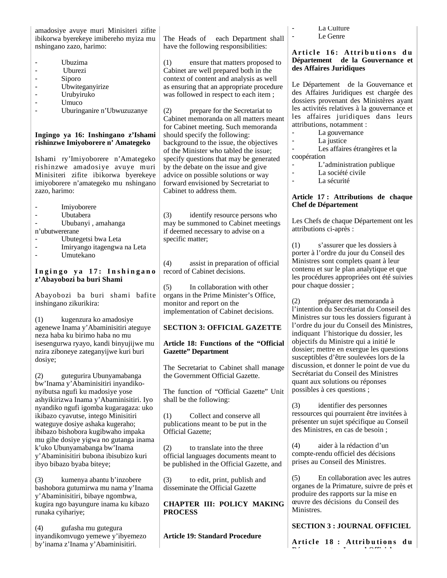amadosiye avuye muri Minisiteri zifite ibikorwa byerekeye imibereho myiza mu nshingano zazo, harimo:

- Ubuzima
- Uburezi
- Siporo
- Ubwiteganyirize
- Urubyiruko
- Umuco
- Uburinganire n'Ubwuzuzanye

#### **Ingingo ya 16: Inshingano z'Ishami rishinzwe Imiyoborere n' Amategeko**

Ishami ry'Imiyoborere n'Amategeko rishinzwe amadosiye avuye muri Minisiteri zifite ibikorwa byerekeye imiyoborere n'amategeko mu nshingano zazo, harimo:

- 
- Imiyoborere<br>- Ilbutabera - Ubutabera
- Ububanyi , amahanga
- n'ubutwererane
- Ubutegetsi bwa Leta
- Imiryango itagengwa na Leta
- Umutekano

## Ingingo ya 17: Inshingano **z'Abayobozi ba buri Shami**

Abayobozi ba buri shami bafite inshingano zikurikira:

(1) kugenzura ko amadosiye agenewe Inama y'Abaminisitiri ateguye neza haba ku birimo haba no mu isesengurwa ryayo, kandi binyujijwe mu nzira ziboneye zateganyijwe kuri buri dosiye;

(2) gutegurira Ubunyamabanga bw'Inama y'Abaminisitiri inyandikonyibutsa ngufi ku madosiye yose ashyikirizwa Inama y'Abaminisitiri. Iyo nyandiko ngufi igomba kugaragaza: uko ikibazo cyavutse, intego Minisitiri wateguye dosiye ashaka kugeraho; ibibazo bishobora kugibwaho impaka mu gihe dosiye yigwa no gutanga inama k'uko Ubunyamabanga bw'Inama y'Abaminisitiri bubona ibisubizo kuri ibyo bibazo byaba biteye;

(3) kumenya abantu b'inzobere bashobora gutumirwa mu nama y'Inama y'Abaminisitiri, bibaye ngombwa, kugira ngo bayungure inama ku kibazo runaka cyihariye;

(4) gufasha mu gutegura inyandikomvugo yemewe y'ibyemezo by'inama z'Inama y'Abaminisitiri.

The Heads of each Department shall have the following responsibilities:

(1) ensure that matters proposed to Cabinet are well prepared both in the context of content and analysis as well as ensuring that an appropriate procedure was followed in respect to each item ;

(2) prepare for the Secretariat to Cabinet memoranda on all matters meant for Cabinet meeting. Such memoranda should specify the following: background to the issue, the objectives of the Minister who tabled the issue; specify questions that may be generated by the debate on the issue and give advice on possible solutions or way forward envisioned by Secretariat to Cabinet to address them.

(3) identify resource persons who may be summoned to Cabinet meetings if deemed necessary to advise on a specific matter;

(4) assist in preparation of official record of Cabinet decisions.

(5) In collaboration with other organs in the Prime Minister's Office, monitor and report on the implementation of Cabinet decisions.

### **SECTION 3: OFFICIAL GAZETTE**

### **Article 18: Functions of the "Official Gazette" Department**

The Secretariat to Cabinet shall manage the Government Official Gazette.

The function of "Official Gazette" Unit shall be the following:

(1) Collect and conserve all publications meant to be put in the Official Gazette;

(2) to translate into the three official languages documents meant to be published in the Official Gazette, and

(3) to edit, print, publish and disseminate the Official Gazette

**CHAPTER III: POLICY MAKING PROCESS**

**Article 19: Standard Procedure**

- La Culture
- Le Genre

#### Article 16: Attributions du **Département de la Gouvernance et des Affaires Juridiques**

Le Département de la Gouvernance et des Affaires Juridiques est chargée des dossiers provenant des Ministères ayant les activités relatives à la gouvernance et les affaires juridiques dans leurs attributions, notamment :

- La gouvernance
- La justice

- Les affaires étrangères et la coopération

- L'administration publique
- La société civile
- La sécurité

#### **Article 17 : Attributions de chaque Chef de Département**

Les Chefs de chaque Département ont les attributions ci-après :

(1) s'assurer que les dossiers à porter à l'ordre du jour du Conseil des Ministres sont complets quant à leur contenu et sur le plan analytique et que les procédures appropriées ont été suivies pour chaque dossier ;

(2) préparer des memoranda à l'intention du Secrétariat du Conseil des Ministres sur tous les dossiers figurant à l'ordre du jour du Conseil des Ministres, indiquant l'historique du dossier, les objectifs du Ministre qui a initié le dossier; mettre en exergue les questions susceptibles d'être soulevées lors de la discussion, et donner le point de vue du Secrétariat du Conseil des Ministres quant aux solutions ou réponses possibles à ces questions ;

(3) identifier des personnes ressources qui pourraient être invitées à présenter un sujet spécifique au Conseil des Ministres, en cas de besoin ;

(4) aider à la rédaction d'un compte-rendu officiel des décisions prises au Conseil des Ministres.

(5) En collaboration avec les autres organes de la Primature, suivre de près et produire des rapports sur la mise en œuvre des décisions du Conseil des Ministres.

# **SECTION 3 : JOURNAL OFFICIEL**

**Arti cl e 1 8 : Attri b u ti o n s d u Dé t t J l Offi i l**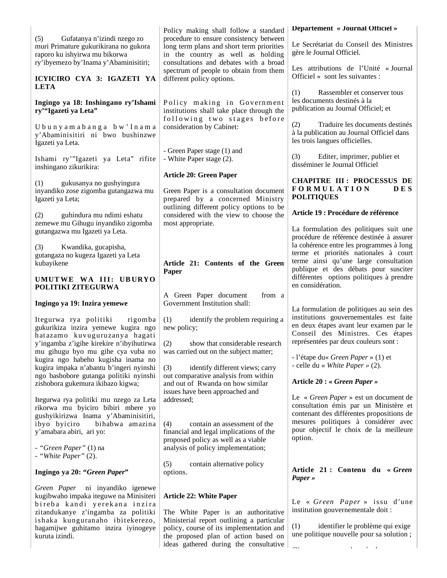|                                                                                                                                                                | Policy making shall follow a standard                                                                                                                                                                          | Département « Journal Officiel »                                                                                                                                 |
|----------------------------------------------------------------------------------------------------------------------------------------------------------------|----------------------------------------------------------------------------------------------------------------------------------------------------------------------------------------------------------------|------------------------------------------------------------------------------------------------------------------------------------------------------------------|
| (5)<br>Gufatanya n'izindi nzego zo<br>muri Primature gukurikirana no gukora<br>raporo ku ishyirwa mu bikorwa<br>ry'ibyemezo by'Inama y'Abaminisitiri;          | procedure to ensure consistency between<br>long term plans and short term priorities<br>in the country as well as holding<br>consultations and debates with a broad                                            | Le Secrétariat du Conseil des Ministres<br>gère le Journal Officiel.                                                                                             |
| ICYICIRO CYA 3: IGAZETI YA<br><b>LETA</b>                                                                                                                      | spectrum of people to obtain from them<br>different policy options.                                                                                                                                            | Les attributions de l'Unité « Journal<br>Officiel » sont les suivantes :                                                                                         |
| Ingingo ya 18: Inshingano ry'Ishami<br>ry'"Igazeti ya Leta"                                                                                                    | Policy making in Government<br>institutions shall take place through the                                                                                                                                       | (1)<br>Rassembler et conserver tous<br>les documents destinés à la<br>publication au Journal Officiel; et                                                        |
| Ubunyamabanga bw'Inama<br>y'Abaminisitiri ni bwo bushinzwe<br>Igazeti ya Leta.                                                                                 | following two stages before<br>consideration by Cabinet:                                                                                                                                                       | (2)<br>Traduire les documents destinés<br>à la publication au Journal Officiel dans<br>les trois langues officielles.                                            |
| Ishami ry"'Igazeti ya Leta" rifite<br>inshingano zikurikira:                                                                                                   | - Green Paper stage (1) and<br>- White Paper stage (2).                                                                                                                                                        | (3)<br>Editer, imprimer, publier et<br>disséminer le Journal Officiel                                                                                            |
| (1)<br>gukusanya no gushyingura<br>inyandiko zose zigomba gutangazwa mu<br>Igazeti ya Leta;                                                                    | <b>Article 20: Green Paper</b><br>Green Paper is a consultation document<br>prepared by a concerned Ministry                                                                                                   | <b>CHAPITRE III: PROCESSUS DE</b><br><b>FORMULATION</b><br><b>DES</b><br><b>POLITIQUES</b>                                                                       |
| guhindura mu ndimi eshatu<br>(2)                                                                                                                               | outlining different policy options to be<br>considered with the view to choose the                                                                                                                             | Article 19 : Procédure de référence                                                                                                                              |
| zemewe mu Gihugu inyandiko zigomba<br>gutangazwa mu Igazeti ya Leta.<br>Kwandika, gucapisha,<br>(3)                                                            | most appropriate.                                                                                                                                                                                              | La formulation des politiques suit une<br>procédure de référence destinée à assurer<br>la cohérence entre les programmes à long                                  |
| gutangaza no kugeza Igazeti ya Leta<br>kubayikene                                                                                                              | Article 21: Contents of the Green<br>Paper                                                                                                                                                                     | terme et priorités nationales à court<br>terme ainsi qu'une large consultation<br>publique et des débats pour susciter                                           |
| UMUTWE WA III: UBURYO<br>POLITIKI ZITEGURWA                                                                                                                    |                                                                                                                                                                                                                | différentes options politiques à prendre<br>en considération.                                                                                                    |
| Ingingo ya 19: Inzira yemewe                                                                                                                                   | A Green Paper document<br>from a<br>Government Institution shall:                                                                                                                                              | La formulation de politiques au sein des                                                                                                                         |
| Itegurwa rya politiki<br>rigomba<br>gukurikiza inzira yemewe kugira ngo<br>hatazamo kuvuguruzanya hagati<br>y'ingamba z'igihe kirekire n'ibyihutirwa           | (1)<br>identify the problem requiring a<br>new policy;<br>(2)<br>show that considerable research                                                                                                               | institutions gouvernementales est faite<br>en deux étapes avant leur examen par le<br>Conseil des Ministres. Ces étapes<br>représentées par deux couleurs sont : |
| mu gihugu byo mu gihe cya vuba no<br>kugira ngo habeho kugisha inama no<br>kugira impaka n'abantu b'ingeri nyinshi<br>ngo bashobore gutanga politiki nyinshi   | was carried out on the subject matter;<br>(3)<br>identify different views; carry<br>out comparative analysis from within                                                                                       | - l'étape du« Green Paper » (1) et<br>- celle du « White Paper » (2).                                                                                            |
| zishobora gukemura ikibazo kigwa;                                                                                                                              | and out of Rwanda on how similar                                                                                                                                                                               | Article 20 : « Green Paper »                                                                                                                                     |
| Itegurwa rya politiki mu nzego za Leta<br>rikorwa mu byiciro bibiri mbere yo<br>gushyikirizwa Inama y'Abaminisitiri,                                           | issues have been approached and<br>addressed;                                                                                                                                                                  | Le « Green Paper » est un document de<br>consultation émis par un Ministère et<br>contenant des différentes propositions de                                      |
| ibyo byiciro<br>bihabwa amazina<br>y'amabara abiri, ari yo:                                                                                                    | (4)<br>contain an assessment of the<br>financial and legal implications of the<br>proposed policy as well as a viable                                                                                          | mesures politiques à considérer avec<br>pour objectif le choix de la meilleure<br>option.                                                                        |
| - "Green Paper" (1) na<br>- "White Paper" (2).                                                                                                                 | analysis of policy implementation;                                                                                                                                                                             |                                                                                                                                                                  |
| Ingingo ya 20: "Green Paper"                                                                                                                                   | contain alternative policy<br>(5)<br>options.                                                                                                                                                                  | Article 21: Contenu du « Green<br>Paper »                                                                                                                        |
| Green Paper ni inyandiko igenewe                                                                                                                               |                                                                                                                                                                                                                |                                                                                                                                                                  |
| kugibwaho impaka iteguwe na Minisiteri                                                                                                                         | <b>Article 22: White Paper</b>                                                                                                                                                                                 |                                                                                                                                                                  |
| bireba kandi yerekana inzira<br>zitandukanye z'ingamba za politiki<br>ishaka kunguranaho ibitekerezo,<br>hagamijwe guhitamo inzira iyinogeye<br>kuruta izindi. | The White Paper is an authoritative<br>Ministerial report outlining a particular<br>policy, course of its implementation and<br>the proposed plan of action based on<br>ideas gathered during the consultative | Le « Green Paper » issu d'une<br>institution gouvernementale doit :<br>identifier le problème qui exige<br>(1)<br>une politique nouvelle pour sa solution;       |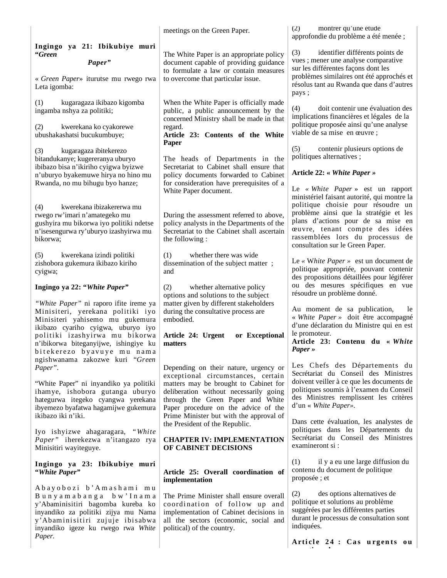|                                                                                                                                                                                                                                                               | meetings on the Green Paper.                                                                                                                                                                                                                                                           | (2)<br>montrer qu'une étude<br>approfondie du problème a été menée ;                                                                                                                                                                                                        |
|---------------------------------------------------------------------------------------------------------------------------------------------------------------------------------------------------------------------------------------------------------------|----------------------------------------------------------------------------------------------------------------------------------------------------------------------------------------------------------------------------------------------------------------------------------------|-----------------------------------------------------------------------------------------------------------------------------------------------------------------------------------------------------------------------------------------------------------------------------|
| Ingingo ya 21: Ibikubiye muri<br>"Green<br>Paper"<br>« Green Paper» iturutse mu rwego rwa<br>Leta igomba:                                                                                                                                                     | The White Paper is an appropriate policy<br>document capable of providing guidance<br>to formulate a law or contain measures<br>to overcome that particular issue.                                                                                                                     | (3)<br>identifier différents points de<br>vues ; mener une analyse comparative<br>sur les différentes façons dont les<br>problèmes similaires ont été approchés et<br>résolus tant au Rwanda que dans d'autres                                                              |
| kugaragaza ikibazo kigomba<br>(1)<br>ingamba nshya za politiki;<br>(2)<br>kwerekana ko cyakorewe<br>ubushakashatsi bucukumbuye;                                                                                                                               | When the White Paper is officially made<br>public, a public announcement by the<br>concerned Ministry shall be made in that<br>regard.<br>Article 23: Contents of the White                                                                                                            | pays;<br>doit contenir une évaluation des<br>(4)<br>implications financières et légales de la<br>politique proposée ainsi qu'une analyse<br>viable de sa mise en œuvre;                                                                                                     |
| kugaragaza ibitekerezo<br>(3)<br>bitandukanye; kugereranya uburyo<br>ibibazo bisa n'ikiriho cyigwa byizwe<br>n'uburyo byakemuwe hirya no hino mu<br>Rwanda, no mu bihugu byo hanze;                                                                           | Paper<br>The heads of Departments in the<br>Secretariat to Cabinet shall ensure that<br>policy documents forwarded to Cabinet<br>for consideration have prerequisites of a<br>White Paper document.                                                                                    | (5)<br>contenir plusieurs options de<br>politiques alternatives ;<br>Article 22: « White Paper »<br>Le « White Paper » est un rapport                                                                                                                                       |
| kwerekana ibizakererwa mu<br>(4)<br>rwego rw'imari n'amategeko mu<br>gushyira mu bikorwa iyo politiki ndetse<br>n'isesengurwa ry'uburyo izashyirwa mu<br>bikorwa;                                                                                             | During the assessment referred to above,<br>policy analysts in the Departments of the<br>Secretariat to the Cabinet shall ascertain<br>the following:                                                                                                                                  | ministériel faisant autorité, qui montre la<br>politique choisie pour résoudre un<br>problème ainsi que la stratégie et les<br>plans d'actions pour de sa mise en<br>œuvre, tenant compte des idées<br>rassemblées lors du processus de<br>consultation sur le Green Paper. |
| (5)<br>kwerekana izindi politiki<br>zishobora gukemura ikibazo kiriho<br>cyigwa;<br>Ingingo ya 22: "White Paper"                                                                                                                                              | whether there was wide<br>(1)<br>dissemination of the subject matter;<br>and<br>(2)<br>whether alternative policy                                                                                                                                                                      | Le « White Paper » est un document de<br>politique appropriée, pouvant contenir<br>des propositions détaillées pour légiférer<br>ou des mesures spécifiques en vue                                                                                                          |
| "White Paper" ni raporo ifite ireme ya<br>Minisiteri, yerekana politiki iyo<br>Minisiteri yahisemo mu gukemura<br>ikibazo cyariho cyigwa, uburyo iyo<br>politiki izashyirwa mu bikorwa<br>n'ibikorwa biteganyijwe, ishingiye ku<br>bitekerezo byavuye mu nama | options and solutions to the subject<br>matter given by different stakeholders<br>during the consultative process are<br>embodied.<br>Article 24: Urgent<br>or Exceptional<br>matters                                                                                                  | résoudre un problème donné.<br>Au moment de sa publication,<br>le<br>« White Paper » doit être accompagné<br>d'une déclaration du Ministre qui en est<br>le promoteur.<br>Article 23: Contenu du « White<br>Paper »                                                         |
| ngishwanama zakozwe kuri "Green<br>Paper".<br>"White Paper" ni inyandiko ya politiki<br>ihamye, ishobora gutanga uburyo<br>hategurwa itegeko cyangwa yerekana<br>ibyemezo byafatwa hagamijwe gukemura<br>ikibazo iki n'iki.                                   | Depending on their nature, urgency or<br>exceptional circumstances, certain<br>matters may be brought to Cabinet for<br>deliberation without necessarily going<br>through the Green Paper and White<br>Paper procedure on the advice of the<br>Prime Minister but with the approval of | Les Chefs des Départements du<br>Secrétariat du Conseil des Ministres<br>doivent veiller à ce que les documents de<br>politiques soumis à l'examen du Conseil<br>des Ministres remplissent les critères<br>d'un « White Paper».<br>Dans cette évaluation, les analystes de  |
| Iyo ishyizwe ahagaragara, "White<br>Paper" iherekezwa n'itangazo rya<br>Minisitiri wayiteguye.                                                                                                                                                                | the President of the Republic.<br><b>CHAPTER IV: IMPLEMENTATION</b><br>OF CABINET DECISIONS                                                                                                                                                                                            | politiques dans les Départements du<br>Secrétariat du Conseil des Ministres<br>examineront si :                                                                                                                                                                             |
| Ingingo ya 23: Ibikubiye muri<br>"White Paper"                                                                                                                                                                                                                | Article 25: Overall coordination of<br>implementation                                                                                                                                                                                                                                  | il y a eu une large diffusion du<br>(1)<br>contenu du document de politique<br>proposée ; et                                                                                                                                                                                |
| Abayobozi b'Amashami mu<br>Bunyamabanga bw'Inama<br>y'Abaminisitiri bagomba kureba ko<br>inyandiko za politiki zijya mu Nama<br>y'Abaminisitiri zujuje ibisabwa<br>inyandiko igeze ku rwego rwa White<br>Paper.                                               | The Prime Minister shall ensure overall<br>coordination of follow up and<br>implementation of Cabinet decisions in<br>all the sectors (economic, social and<br>political) of the country.                                                                                              | (2)<br>des options alternatives de<br>politique et solutions au problème<br>suggérées par les différentes parties<br>durant le processus de consultation sont<br>indiquées.                                                                                                 |
|                                                                                                                                                                                                                                                               |                                                                                                                                                                                                                                                                                        | Article 24 : Cas urgents ou                                                                                                                                                                                                                                                 |

**ti l**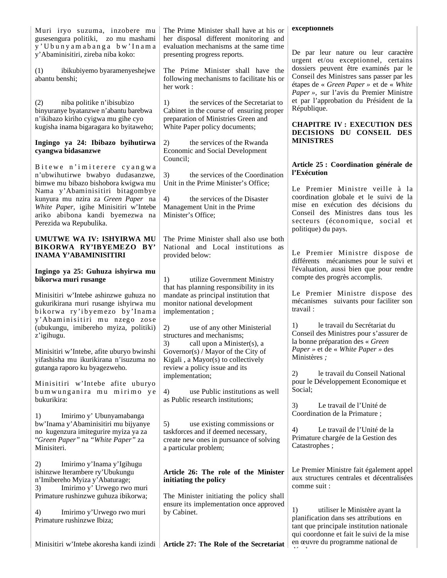| Muri iryo suzuma, inzobere mu<br>gusesengura politiki, zo mu mashami<br>y'Ubunyamabanga bw'Inama<br>y'Abaminisitiri, zireba niba koko:<br>ibikubiyemo byaramenyeshejwe<br>(1)<br>abantu benshi;                                                                                                              | The Prime Minister shall have at his or<br>her disposal different monitoring and<br>evaluation mechanisms at the same time<br>presenting progress reports.<br>The Prime Minister shall have the<br>following mechanisms to facilitate his or<br>her work: | exceptionnels<br>De par leur nature ou leur caractère<br>urgent et/ou exceptionnel, certains<br>dossiers peuvent être examinés par le<br>Conseil des Ministres sans passer par les<br>étapes de « Green Paper » et de « White                                            |
|--------------------------------------------------------------------------------------------------------------------------------------------------------------------------------------------------------------------------------------------------------------------------------------------------------------|-----------------------------------------------------------------------------------------------------------------------------------------------------------------------------------------------------------------------------------------------------------|--------------------------------------------------------------------------------------------------------------------------------------------------------------------------------------------------------------------------------------------------------------------------|
| (2)<br>niba politike n'ibisubizo<br>binyuranye byatanzwe n'abantu barebwa<br>n'ikibazo kiriho cyigwa mu gihe cyo<br>kugisha inama bigaragara ko byitaweho;<br>Ingingo ya 24: Ibibazo byihutirwa                                                                                                              | the services of the Secretariat to<br>1)<br>Cabinet in the course of ensuring proper<br>preparation of Ministries Green and<br>White Paper policy documents;<br>the services of the Rwanda                                                                | Paper », sur l'avis du Premier Ministre<br>et par l'approbation du Président de la<br>République.<br><b>CHAPITRE IV: EXECUTION DES</b><br>DECISIONS DU CONSEIL DES<br><b>MINISTRES</b>                                                                                   |
| cyangwa bidasanzwe<br>Bitewe n'imiterere cyangwa<br>n'ubwihutirwe bwabyo dudasanzwe,<br>bimwe mu bibazo bishobora kwigwa mu<br>Nama y'Abaminisitiri bitagombye<br>kunyura mu nzira za Green Paper na<br>White Paper, igihe Minisitiri w'Intebe<br>ariko abibona kandi byemezwa na<br>Perezida wa Repubulika. | 2)<br><b>Economic and Social Development</b><br>Council;<br>the services of the Coordination<br>3)<br>Unit in the Prime Minister's Office;<br>4)<br>the services of the Disaster<br>Management Unit in the Prime<br>Minister's Office;                    | Article 25 : Coordination générale de<br>l'Exécution<br>Le Premier Ministre veille à la<br>coordination globale et le suivi de la<br>mise en exécution des décisions du<br>Conseil des Ministres dans tous les<br>secteurs (économique, social et<br>politique) du pays. |
| UMUTWE WA IV: ISHYIRWA MU<br>BIKORWA RY'IBYEMEZO BY'<br><b>INAMA Y'ABAMINISITIRI</b><br>Ingingo ya 25: Guhuza ishyirwa mu                                                                                                                                                                                    | The Prime Minister shall also use both<br>National and Local institutions as<br>provided below:                                                                                                                                                           | Le Premier Ministre dispose de<br>différents mécanismes pour le suivi et<br>l'évaluation, aussi bien que pour rendre                                                                                                                                                     |
| bikorwa muri rusange<br>Minisitiri w'Intebe ashinzwe guhuza no<br>gukurikirana muri rusange ishyirwa mu<br>bikorwa ry'ibyemezo by'Inama                                                                                                                                                                      | 1)<br>utilize Government Ministry<br>that has planning responsibility in its<br>mandate as principal institution that<br>monitor national development<br>implementation;                                                                                  | compte des progrès accomplis.<br>Le Premier Ministre dispose des<br>mécanismes suivants pour faciliter son<br>travail:                                                                                                                                                   |
| y'Abaminisitiri mu nzego zose<br>(ubukungu, imibereho myiza, politiki)<br>z'igihugu.<br>Minisitiri w'Intebe, afite uburyo bwinshi<br>yifashisha mu ikurikirana n'isuzuma no                                                                                                                                  | use of any other Ministerial<br>2)<br>structures and mechanisms;<br>3)<br>call upon a Minister(s), a<br>Governor(s) / Mayor of the City of<br>Kigali, a Mayor(s) to collectively                                                                          | le travail du Secrétariat du<br>1)<br>Conseil des Ministres pour s'assurer de<br>la bonne préparation des « Green<br><i>Paper</i> » et de « <i>White Paper</i> » des<br>Ministères;                                                                                      |
| gutanga raporo ku byagezweho.<br>Minisitiri w'Intebe afite uburyo<br>bumwunganira mu mirimo ye<br>bukurikira:                                                                                                                                                                                                | review a policy issue and its<br>implementation;<br>use Public institutions as well<br>4)<br>as Public research institutions;                                                                                                                             | le travail du Conseil National<br>2)<br>pour le Développement Economique et<br>Social;<br>3)<br>Le travail de l'Unité de                                                                                                                                                 |
| Imirimo y' Ubunyamabanga<br>1)<br>bw'Inama y'Abaminisitiri mu bijyanye<br>no kugenzura imitegurire myiza ya za<br>"Green Paper" na "White Paper" za<br>Minisiteri.                                                                                                                                           | 5)<br>use existing commissions or<br>taskforces and if deemed necessary,<br>create new ones in pursuance of solving<br>a particular problem;                                                                                                              | Coordination de la Primature;<br>Le travail de l'Unité de la<br>4)<br>Primature chargée de la Gestion des<br>Catastrophes;                                                                                                                                               |
| 2)<br>Imirimo y'Inama y'Igihugu<br>ishinzwe Iterambere ry'Ubukungu<br>n'Imibereho Myiza y'Abaturage;<br>Imirimo y' Urwego rwo muri<br>3)<br>Primature rushinzwe guhuza ibikorwa;                                                                                                                             | Article 26: The role of the Minister<br>initiating the policy<br>The Minister initiating the policy shall                                                                                                                                                 | Le Premier Ministre fait également appel<br>aux structures centrales et décentralisées<br>comme suit :                                                                                                                                                                   |
| Imirimo y'Urwego rwo muri<br>4)<br>Primature rushinzwe Ibiza;                                                                                                                                                                                                                                                | ensure its implementation once approved<br>by Cabinet.                                                                                                                                                                                                    | utiliser le Ministère ayant la<br>1)<br>planification dans ses attributions en<br>tant que principale institution nationale<br>qui coordonne et fait le suivi de la mise<br>en œuvre du programme national de                                                            |
| Minisitiri w'Intebe akoresha kandi izindi                                                                                                                                                                                                                                                                    | Article 27: The Role of the Secretariat                                                                                                                                                                                                                   |                                                                                                                                                                                                                                                                          |

dé l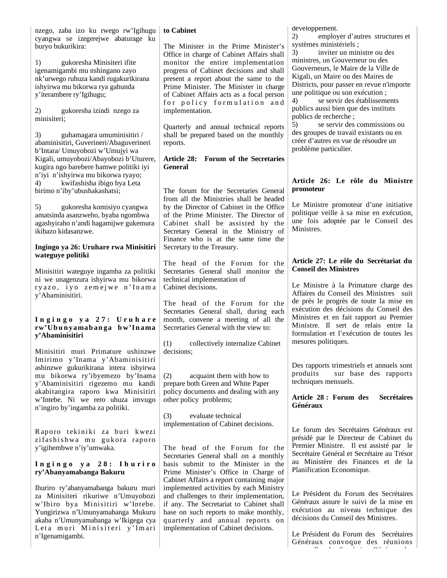nzego, zaba izo ku rwego rw'Igihugu cyangwa se izegerejwe abaturage ku buryo bukurikira:

1) gukoresha Minisiteri ifite igenamigambi mu nshingano zayo nk'urwego ruhuza kandi rugakurikirana ishyirwa mu bikorwa rya gahunda y'iterambere ry'Igihugu;

2) gukoresha izindi nzego za minisiteri;

3) guhamagara umuminisitiri / abaminisitiri, Guverineri/Abaguverineri b'Intara/ Umuyobozi w'Umujyi wa Kigali, umuyobozi/Abayobozi b'Uturere, kugira ngo barebere hamwe politiki iyi n'iyi n'ishyirwa mu bikorwa ryayo; 4) kwifashisha ibigo bya Leta birimo n'iby'ubushakashatsi;

5) gukoresha komisiyo cyangwa amatsinda asanzweho, byaba ngombwa agashyiraho n'andi hagamijwe gukemura ikibazo kidasanzwe.

### **Ingingo ya 26: Uruhare rwa Minisitiri wateguye politiki**

Minisitiri wateguye ingamba za politiki ni we unagenzura ishyirwa mu bikorwa ry azo, iyo zemejwe n'Inama y'Abaminisitiri.

#### **I n g i n g o y a 2 7 : U r u h a r e rw'Ub u n yamab an ga b w'In ama y'Abaminisitiri**

Minisitiri muri Primature ushinzwe Imirimo y'Inama y'Abaminisitiri ashinzwe gukurikirana intera ishyirwa mu bikorwa ry'ibyemezo by'Inama y'Abaminisitiri rigezemo mu kandi akabitangira raporo kwa Minisitiri w'Intebe. Ni we rero uhuza imvugo n'ingiro by'ingamba za politiki.

Raporo tekiniki za buri kwezi zifashishwa mu gukora raporo y'igihembwe n'iy'umwaka.

### **I n g i n g o y a 2 8 : I h u r i r o ry'Abanyamabanga Bakuru**

Ihuriro ry'abanyamabanga bakuru muri za Minisiteri rikuriwe n'Umuyobozi w'Ibiro bya Minisitiri w'Intebe. Yungirizwa n'Umunyamabanga Mukuru akaba n'Umunyamabanga w'Ikigega cya Leta muri Minisiteri y'Imari n'Igenamigambi.

## **to Cabinet**

The Minister in the Prime Minister's Office in charge of Cabinet Affairs shall monitor the entire implementation progress of Cabinet decisions and shall present a report about the same to the Prime Minister. The Minister in charge of Cabinet Affairs acts as a focal person for policy formulation and implementation.

Quarterly and annual technical reports shall be prepared based on the monthly reports.

#### **Article 28: Forum of the Secretaries General**

The forum for the Secretaries General from all the Ministries shall be headed by the Director of Cabinet in the Office of the Prime Minister. The Director of Cabinet shall be assisted by the Secretary General in the Ministry of Finance who is at the same time the Secretary to the Treasury.

The head of the Forum for the Secretaries General shall monitor the technical implementation of Cabinet decisions.

The head of the Forum for the Secretaries General shall, during each month, convene a meeting of all the Secretaries General with the view to:

(1) collectively internalize Cabinet decisions;

(2) acquaint them with how to prepare both Green and White Paper policy documents and dealing with any other policy problems;

(3) evaluate technical implementation of Cabinet decisions.

The head of the Forum for the Secretaries General shall on a monthly basis submit to the Minister in the Prime Minister's Office in Charge of Cabinet Affairs a report containing major implemented activities by each Ministry and challenges to their implementation, if any. The Secretariat to Cabinet shall base on such reports to make monthly, quarterly and annual reports on implementation of Cabinet decisions.

développement.

2) employer d'autres structures et systèmes ministériels ;

3) inviter un ministre ou des ministres, un Gouverneur ou des Gouverneurs, le Maire de la Ville de Kigali, un Maire ou des Maires de Districts, pour passer en revue n'importe une politique ou son exécution ;

4) se servir des établissements publics aussi bien que des instituts publics de recherche ;

5) se servir des commissions ou des groupes de travail existants ou en créer d'autres en vue de résoudre un problème particulier.

#### **Article 26: Le rôle du Ministre promoteur**

Le Ministre promoteur d'une initiative politique veille à sa mise en exécution, une fois adoptée par le Conseil des Ministres.

## **Article 27: Le rôle du Secrétariat du Conseil des Ministres**

Le Ministre à la Primature charge des Affaires du Conseil des Ministres suit de près le progrès de toute la mise en exécution des décisions du Conseil des Ministres et en fait rapport au Premier Ministre. Il sert de relais entre la formulation et l'exécution de toutes les mesures politiques.

Des rapports trimestriels et annuels sont produits sur base des rapports techniques mensuels.

### **Article 28 : Forum des Secrétaires Généraux**

Le forum des Secrétaires Généraux est présidé par le Directeur de Cabinet du Premier Ministre. Il est assisté par le Secrétaire Général et Secrétaire au Trésor au Ministère des Finances et de la Planification Economique.

Le Président du Forum des Secrétaires Généraux assure le suivi de la mise en exécution au niveau technique des décisions du Conseil des Ministres.

Le Président du Forum des Secrétaires Généraux convoque des réunions ll d S é i Gé é d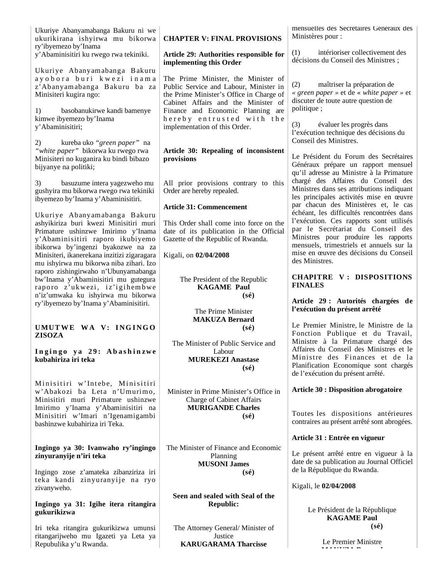| Ukuriye Abanyamabanga Bakuru ni we     |  |  |
|----------------------------------------|--|--|
| ukurikirana ishyirwa mu bikorwa        |  |  |
| ry'ibyemezo by'Inama                   |  |  |
| y'Abaminisitiri ku rwego rwa tekiniki. |  |  |

Ukuriye Abanyamabanga B akuru ay o b o r a b u r i k w e z i i n a m a z'Abanyamabanga B akuru ba za Minisiteri kugira ngo:

1) basobanukirwe kandi bamenye kimwe ibyemezo by'Inama y'Abaminisitiri;

2) kureba uko *"green paper"* na *"white paper"* bikorwa ku rwego rwa Minisiteri no kuganira ku bindi bibazo bijyanye na politiki;

3) basuzume intera yagezweho mu gushyira mu bikorwa rwego rwa tekiniki ibyemezo by'Inama y'Abaminisitiri.

Ukuriye Abanyamabanga B akuru ashyikiriza buri kwezi Minisitiri muri Primature ushinzwe Imirimo y'Inama y'Abaminisitiri raporo ikubiyemo ibikorwa by'ingenzi byakozwe na za Minisiteri, ikanerekana inzitizi zigaragara mu ishyirwa mu bikorwa niba zihari. Izo raporo zishingirwaho n'Ubunyamabanga bw'Inama y'Abaminisitiri mu gutegura raporo z'ukwezi, iz'igihembwe n'iz'umwaka ku ishyirwa mu bikorwa ry'ibyemezo by'Inama y'Abaminisitiri.

#### **UMUTWE WA V: INGINGO ZISOZA**

Ingingo ya 29: Abashinzwe **kubahiriza iri teka**

Minisitiri w'Intebe, Minisitiri w'Abakozi ba Leta n'Umurimo, Minisitiri muri Primature ushinzwe Imirimo y'Inama y'Abaminisitiri na Minisitiri w'Imari n'Igenamigambi bashinzwe kubahiriza iri Teka.

#### **Ingingo ya 30: Ivanwaho ry'ingingo zinyuranyije n'iri teka**

Ingingo zose z'amateka zibanziriza iri teka kandi zinyuranyije na ryo zivanyweho.

### **Ingingo ya 31: Igihe itera ritangira gukurikizwa**

Iri teka ritangira gukurikizwa umunsi ritangarijweho mu Igazeti ya Leta ya Repubulika y'u Rwanda.

## **CHAPTER V: FINAL PROVISIONS**

**Article 29: Authorities responsible for implementing this Order**

The Prime Minister, the Minister of Public Service and Labour, Minister in the Prime Minister's Office in Charge of Cabinet Affairs and the Minister of Finance and Economic Planning are h e r e b y e n t r u s t e d w i t h t h e implementation of this Order.

### **Article 30: Repealing of inconsistent provisions**

All prior provisions contrary to this Order are hereby repealed.

### **Article 31: Commencement**

This Order shall come into force on the date of its publication in the Official Gazette of the Republic of Rwanda.

### Kigali, on **02/04/2008**

The President of the Republic **KAGAME Paul (sé)**

> The Prime Minister **MAKUZA Bernard (sé)**

The Minister of Public Service and Labour **MUREKEZI Anastase (sé)**

Minister in Prime Minister's Office in Charge of Cabinet Affairs **MURIGANDE Charles (sé)**

The Minister of Finance and Economic Planning **MUSONI James (sé)**

**Seen and sealed with Seal of the Republic:**

The Attorney General/ Minister of Justice **KARUGARAMA Tharcisse**

mensuelles des Secrétaires Généraux des Ministères pour :

(1) intérioriser collectivement des décisions du Conseil des Ministres ;

(2) maîtriser la préparation de *« green paper »* et de « *white paper »* et discuter de toute autre question de politique ;

(3) évaluer les progrès dans l'exécution technique des décisions du Conseil des Ministres.

Le Président du Forum des Secrétaires Généraux prépare un rapport mensuel qu'il adresse au Ministre à la Primature chargé des Affaires du Conseil des Ministres dans ses attributions indiquant les principales activités mise en œuvre par chacun des Ministères et, le cas échéant, les difficultés rencontrées dans l'exécution. Ces rapports sont utilisés par le Secrétariat du Conseil des Ministres pour produire les rapports mensuels, trimestriels et annuels sur la mise en œuvre des décisions du Conseil des Ministres.

### **CHAPITRE V : DISPOSITIONS FINALES**

#### **Article 29 : Autorités chargées de l'exécution du présent arrêté**

Le Premier Ministre, le Ministre de la Fonction Publique et du Travail, Ministre à la Primature chargé des Affaires du Conseil des Ministres et le Ministre des Finances et de la Planification Economique sont chargés de l'exécution du présent arrêté.

### **Article 30 : Disposition abrogatoire**

Toutes les dispositions antérieures contraires au présent arrêté sont abrogées.

# **Article 31 : Entrée en vigueur**

Le présent arrêté entre en vigueur à la date de sa publication au Journal Officiel de la République du Rwanda.

Kigali, le **02/04/2008** 

Le Président de la République **KAGAME Paul (sé)**

> Le Premier Ministre **Makuza B dia mpika B dia mpika B dia mpika B dia mpika B dia mpika B dia mpika B dia mpika B dia mpika B dia m**<br>Panao amin'ny faritr'i Nord-Afrika B dia mpika B dia mpika mpika B dia mpika mpika mpika mpika mpika mpika mp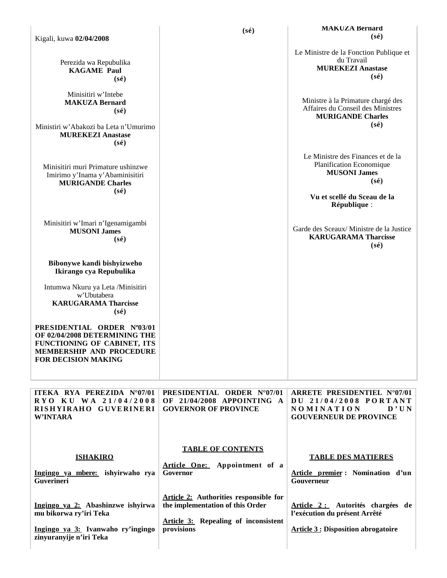|                                                                                                                                                             | $(s\acute{e})$                                                                                 | <b>MAKUZA Bernard</b><br>$(s\acute{e})$                                                                               |
|-------------------------------------------------------------------------------------------------------------------------------------------------------------|------------------------------------------------------------------------------------------------|-----------------------------------------------------------------------------------------------------------------------|
| Kigali, kuwa 02/04/2008                                                                                                                                     |                                                                                                |                                                                                                                       |
| Perezida wa Repubulika<br><b>KAGAME Paul</b><br>$(s\acute{e})$                                                                                              |                                                                                                | Le Ministre de la Fonction Publique et<br>du Travail<br><b>MUREKEZI Anastase</b><br>$(s\acute{e})$                    |
| Minisitiri w'Intebe<br><b>MAKUZA Bernard</b><br>$(s\acute{e})$                                                                                              |                                                                                                | Ministre à la Primature chargé des<br>Affaires du Conseil des Ministres<br><b>MURIGANDE Charles</b><br>$(s\acute{e})$ |
| Ministiri w'Abakozi ba Leta n'Umurimo<br><b>MUREKEZI Anastase</b><br>$(s\acute{e})$                                                                         |                                                                                                |                                                                                                                       |
| Minisitiri muri Primature ushinzwe<br>Imirimo y'Inama y'Abaminisitiri<br><b>MURIGANDE Charles</b>                                                           |                                                                                                | Le Ministre des Finances et de la<br>Planification Economique<br><b>MUSONI James</b><br>$(s\acute{e})$                |
| $(s\acute{e})$                                                                                                                                              |                                                                                                | Vu et scellé du Sceau de la<br>République :                                                                           |
| Minisitiri w'Imari n'Igenamigambi<br><b>MUSONI James</b><br>$(s\acute{e})$                                                                                  |                                                                                                | Garde des Sceaux/Ministre de la Justice<br><b>KARUGARAMA Tharcisse</b><br>$(s\acute{e})$                              |
| Bibonywe kandi bishyizweho<br>Ikirango cya Repubulika                                                                                                       |                                                                                                |                                                                                                                       |
| Intumwa Nkuru ya Leta /Minisitiri<br>w'Ubutabera<br><b>KARUGARAMA Tharcisse</b><br>$(s\acute{e})$                                                           |                                                                                                |                                                                                                                       |
| PRESIDENTIAL ORDER N°03/01<br>OF 02/04/2008 DETERMINING THE<br>FUNCTIONING OF CABINET, ITS<br><b>MEMBERSHIP AND PROCEDURE</b><br><b>FOR DECISION MAKING</b> |                                                                                                |                                                                                                                       |
| ITEKA RYA PEREZIDA N°07/01<br>RYO KU WA 21/04/2008<br>RISHYIRAHO GUVERINERI<br><b>W'INTARA</b>                                                              | <b>PRESIDENTIAL ORDER N°07/01</b><br>OF 21/04/2008 APPOINTING A<br><b>GOVERNOR OF PROVINCE</b> | ARRETE PRESIDENTIEL N°07/01<br>DU 21/04/2008 PORTANT<br><b>NOMINATION</b><br>D'UN<br><b>GOUVERNEUR DE PROVINCE</b>    |
| <b>ISHAKIRO</b><br>Ingingo ya mbere: ishyirwaho rya<br>Guverineri                                                                                           | <b>TABLE OF CONTENTS</b><br>Article One: Appointment of a<br>Governor                          | <b>TABLE DES MATIERES</b><br>Article premier: Nomination d'un<br>Gouverneur                                           |
| Ingingo ya 2: Abashinzwe ishyirwa<br>mu bikorwa ry'iri Teka                                                                                                 | <b>Article 2:</b> Authorities responsible for<br>the implementation of this Order              | Article 2 : Autorités chargées de<br>l'exécution du présent Arrêté                                                    |
| Ingingo ya 3: Ivanwaho ry'ingingo<br>zinyuranyije n'iri Teka                                                                                                | <b>Article 3: Repealing of inconsistent</b><br>provisions                                      | <b>Article 3: Disposition abrogatoire</b>                                                                             |
|                                                                                                                                                             |                                                                                                |                                                                                                                       |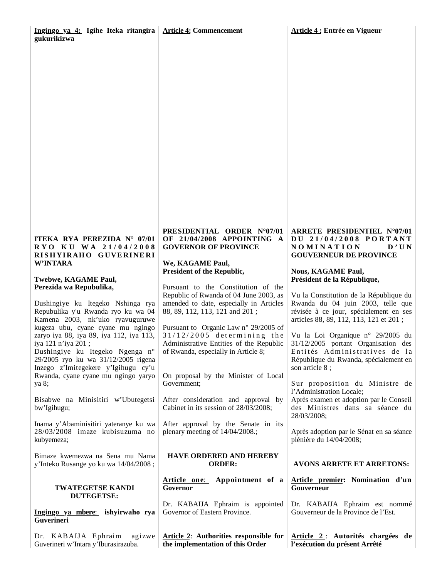## **ITEKA RYA PEREZIDA N° 07/01 R Y O K U W A 2 1 / 0 4 / 2 0 0 8 RI S H YI RAH O G UVE RI NE RI W'INTARA**

#### **Twebwe, KAGAME Paul, Perezida wa Repubulika,**

Dushingiye ku Itegeko Nshinga rya Repubulika y'u Rwanda ryo ku wa 04 Kamena 2003, nk'uko ryavuguruwe kugeza ubu, cyane cyane mu ngingo zaryo iya 88, iya 89, iya 112, iya 113, iya 121 n'iya 201 ; Dushingiye ku Itegeko Ngenga n° 29/2005 ryo ku wa 31/12/2005 rigena Inzego z'Imitegekere y'Igihugu cy'u

ya 8; Bisabwe na Minisitiri w'Ubutegetsi bw'Igihugu;

Rwanda, cyane cyane mu ngingo yaryo

Inama y'Abaminisitiri yateranye ku wa 28/03/2008 imaze kubisuzuma no kubyemeza;

Bimaze kwemezwa na Sena mu Nama y'Inteko Rusange yo ku wa 14/04/2008 ;

#### **TWATEGETSE KANDI DUTEGETSE:**

**Ingingo ya mbere**: **ishyirwaho rya Guverineri**

Dr. KABAIJA Ephraim agizwe Guverineri w'Intara y'Iburasirazuba.

#### **PRESIDENTIAL ORDER N°07/01 OF 21/04/2008 APPOINTING A GOVERNOR OF PROVINCE**

**We, KAGAME Paul, President of the Republic,**

Pursuant to the Constitution of the Republic of Rwanda of 04 June 2003, as amended to date, especially in Articles 88, 89, 112, 113, 121 and 201 ;

Pursuant to Organic Law n° 29/2005 of  $31/12/2005$  determining the Administrative Entities of the Republic of Rwanda, especially in Article 8;

On proposal by the Minister of Local Government;

After consideration and approval by Cabinet in its session of 28/03/2008;

After approval by the Senate in its plenary meeting of 14/04/2008.;

### **HAVE ORDERED AND HEREBY ORDER:**

**Article one**: **Appointment of a Governor**

Dr. KABAIJA Ephraim is appointed Governor of Eastern Province.

**Article 2**: **Authorities responsible for the implementation of this Order**

#### **ARRETE PRESIDENTIEL N°07/01 D U 2 1 / 0 4 / 2 0 0 8 P O R T A N T N O M I N A T I O N D ' U N GOUVERNEUR DE PROVINCE**

**Nous, KAGAME Paul, Président de la République,**

Vu la Constitution de la République du Rwanda du 04 juin 2003, telle que révisée à ce jour, spécialement en ses articles 88, 89, 112, 113, 121 et 201 ;

Vu la Loi Organique n° 29/2005 du 31/12/2005 portant Organisation des Entités Administratives de la République du Rwanda, spécialement en son article 8 ;

Sur proposition du Ministre de l'Administration Locale;

Après examen et adoption par le Conseil des Ministres dans sa séance du 28/03/2008;

Après adoption par le Sénat en sa séance plénière du 14/04/2008;

# **AVONS ARRETE ET ARRETONS:**

#### **Article premier: Nomination d'un Gouverneur**

Dr. KABAIJA Ephraim est nommé Gouverneur de la Province de l'Est.

**Article 2** : **Autorités chargées de l'exécution du présent Arrêté**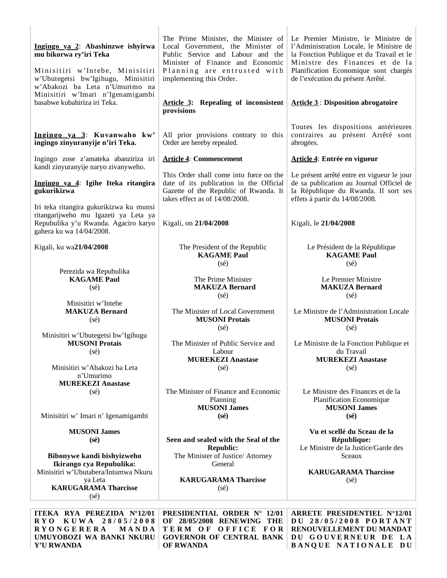| Ingingo ya 2: Abashinzwe ishyirwa<br>mu bikorwa ry'iri Teka<br>Minisitiri w'Intebe, Minisitiri<br>w'Ubutegetsi bw'Igihugu, Minisitiri<br>w'Abakozi ba Leta n'Umurimo na<br>Minisitiri w'Imari n'Igenamigambi<br>basabwe kubahiriza iri Teka. | The Prime Minister, the Minister of<br>Local Government, the Minister of<br>Public Service and Labour and the<br>Minister of Finance and Economic<br>Planning are entrusted with<br>implementing this Order.<br><b>Article 3:</b> Repealing of inconsistent<br>provisions | Le Premier Ministre, le Ministre de<br>l'Administration Locale, le Ministre de<br>la Fonction Publique et du Travail et le<br>Ministre des Finances et de la<br>Planification Economique sont chargés<br>de l'exécution du présent Arrêté.<br><b>Article 3: Disposition abrogatoire</b> |
|----------------------------------------------------------------------------------------------------------------------------------------------------------------------------------------------------------------------------------------------|---------------------------------------------------------------------------------------------------------------------------------------------------------------------------------------------------------------------------------------------------------------------------|-----------------------------------------------------------------------------------------------------------------------------------------------------------------------------------------------------------------------------------------------------------------------------------------|
| Ingingo ya 3: Kuvanwaho kw'<br>ingingo zinyuranyije n'iri Teka.                                                                                                                                                                              | All prior provisions contrary to this<br>Order are hereby repealed.                                                                                                                                                                                                       | Toutes les dispositions antérieures<br>contraires au présent Arrêté sont<br>abrogées.                                                                                                                                                                                                   |
| Ingingo zose z'amateka abanziriza iri                                                                                                                                                                                                        | <b>Article 4: Commencement</b>                                                                                                                                                                                                                                            | Article 4: Entrée en vigueur                                                                                                                                                                                                                                                            |
| kandi zinyuranyije naryo zivanyweho.<br>Ingingo ya 4: Igihe Iteka ritangira<br>gukurikizwa                                                                                                                                                   | This Order shall come into force on the<br>date of its publication in the Official<br>Gazette of the Republic of Rwanda. It<br>takes effect as of 14/08/2008.                                                                                                             | Le présent arrêté entre en vigueur le jour<br>de sa publication au Journal Officiel de<br>la République du Rwanda. Il sort ses<br>effets à partir du 14/08/2008.                                                                                                                        |
| Iri teka ritangira gukurikizwa ku munsi<br>ritangarijweho mu Igazeti ya Leta ya<br>Repubulika y'u Rwanda. Agaciro karyo<br>gahera ku wa 14/04/2008.                                                                                          | Kigali, on 21/04/2008                                                                                                                                                                                                                                                     | Kigali, le 21/04/2008                                                                                                                                                                                                                                                                   |
| Kigali, ku wa21/04/2008                                                                                                                                                                                                                      | The President of the Republic<br><b>KAGAME Paul</b><br>$(s\acute{e})$                                                                                                                                                                                                     | Le Président de la République<br><b>KAGAME Paul</b><br>$(s\acute{e})$                                                                                                                                                                                                                   |
| Perezida wa Repubulika<br><b>KAGAME Paul</b><br>$(s\acute{e})$                                                                                                                                                                               | The Prime Minister<br><b>MAKUZA Bernard</b><br>$(s\acute{e})$                                                                                                                                                                                                             | Le Premier Ministre<br><b>MAKUZA Bernard</b><br>$(s\acute{e})$                                                                                                                                                                                                                          |
| Minisitiri w'Intebe<br><b>MAKUZA Bernard</b><br>$(s\acute{e})$                                                                                                                                                                               | The Minister of Local Government<br><b>MUSONI Protais</b><br>$(s\acute{e})$                                                                                                                                                                                               | Le Ministre de l'Administration Locale<br><b>MUSONI Protais</b><br>$(s\acute{e})$                                                                                                                                                                                                       |
| Minisitiri w'Ubutegetsi bw'Igihugu<br><b>MUSONI Protais</b><br>$(s\acute{e})$<br>Minisitiri w'Abakozi ba Leta<br>n'Umurimo                                                                                                                   | The Minister of Public Service and<br>Labour<br><b>MUREKEZI Anastase</b><br>$(s\acute{e})$                                                                                                                                                                                | Le Ministre de la Fonction Publique et<br>du Travail<br><b>MUREKEZI Anastase</b><br>$(s\acute{e})$                                                                                                                                                                                      |
| <b>MUREKEZI Anastase</b><br>$(s\acute{e})$<br>Minisitiri w' Imari n' Igenamigambi                                                                                                                                                            | The Minister of Finance and Economic<br>Planning<br><b>MUSONI James</b><br>$(s\acute{e})$                                                                                                                                                                                 | Le Ministre des Finances et de la<br>Planification Economique<br><b>MUSONI James</b><br>$(s\acute{e})$                                                                                                                                                                                  |
| <b>MUSONI James</b><br>$(s\acute{e})$<br>Bibonywe kandi bishyizweho<br>Ikirango cya Repubulika:<br>Minisitiri w'Ubutabera/Intumwa Nkuru<br>ya Leta<br><b>KARUGARAMA Tharcisse</b><br>(sé)                                                    | Seen and sealed with the Seal of the<br><b>Republic:</b><br>The Minister of Justice/ Attorney<br>General<br><b>KARUGARAMA Tharcisse</b><br>$(s\acute{e})$                                                                                                                 | Vu et scellé du Sceau de la<br>République:<br>Le Ministre de la Justice/Garde des<br>Sceaux<br><b>KARUGARAMA Tharcisse</b><br>$(s\acute{e})$                                                                                                                                            |
| ITEKA RYA PEREZIDA N°12/01<br><b>KUWA</b><br>28/05/2008<br>R Y O<br><b>RYONGERERA</b><br>MANDA<br>UMUYOBOZI WA BANKI NKURU                                                                                                                   | <b>PRESIDENTIAL ORDER N° 12/01</b><br>28/05/2008 RENEWING THE<br>OF<br>TERM OF OFFICE FOR<br><b>GOVERNOR OF CENTRAL BANK</b>                                                                                                                                              | <b>ARRETE PRESIDENTIEL N°12/01</b><br>DU 28/05/2008 PORTANT<br>RENOUVELLEMENT DU MANDAT<br>DU GOUVERNEUR DE LA                                                                                                                                                                          |

**OF RWANDA**

**BANQUE NATIONALE D U**

**Y'U RWANDA**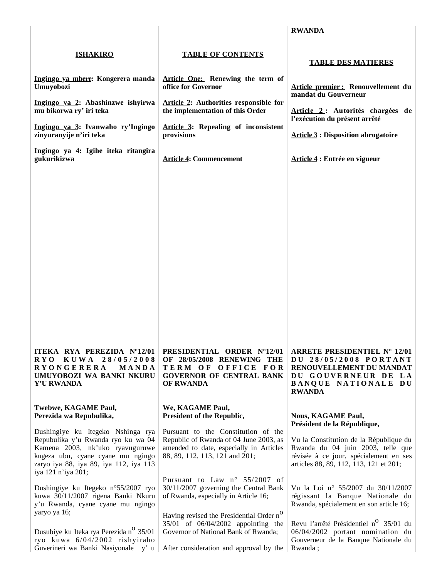|                                                                                                                                                                                                                                                         |                                                                                                                                                                                                                                                            | <b>RWANDA</b>                                                                                                                                                                                                                                |
|---------------------------------------------------------------------------------------------------------------------------------------------------------------------------------------------------------------------------------------------------------|------------------------------------------------------------------------------------------------------------------------------------------------------------------------------------------------------------------------------------------------------------|----------------------------------------------------------------------------------------------------------------------------------------------------------------------------------------------------------------------------------------------|
| <b>ISHAKIRO</b><br>Ingingo ya mbere: Kongerera manda<br>Umuyobozi<br>Ingingo ya 2: Abashinzwe ishyirwa<br>mu bikorwa ry' iri teka<br>Ingingo ya 3: Ivanwaho ry'Ingingo<br>zinyuranyije n'iri teka<br>Ingingo ya 4: Igihe iteka ritangira<br>gukurikizwa | <b>TABLE OF CONTENTS</b><br>Article One: Renewing the term of<br>office for Governor<br>Article 2: Authorities responsible for<br>the implementation of this Order<br>Article 3: Repealing of inconsistent<br>provisions<br><b>Article 4: Commencement</b> | <b>TABLE DES MATIERES</b><br>Article premier : Renouvellement du<br>mandat du Gouverneur<br>Article 2: Autorités chargées de<br>l'exécution du présent arrêté<br><b>Article 3 : Disposition abrogatoire</b><br>Article 4 : Entrée en vigueur |
| RYO KUWA 28/05/2008                                                                                                                                                                                                                                     | ITEKA RYA PEREZIDA N°12/01   PRESIDENTIAL ORDER N°12/01   ARRETE PRESIDENTIEL N° 12/01                                                                                                                                                                     | DU 28/05/2008 PORTANT                                                                                                                                                                                                                        |
| <b>RYONGERERA</b>                                                                                                                                                                                                                                       | OF 28/05/2008 RENEWING THE                                                                                                                                                                                                                                 | RENOUVELLEMENT DU MANDAT                                                                                                                                                                                                                     |
| MANDA                                                                                                                                                                                                                                                   | TERM OF OFFICE FOR                                                                                                                                                                                                                                         | DU GOUVERNEUR DE LA                                                                                                                                                                                                                          |
| UMUYOBOZI WA BANKI NKURU                                                                                                                                                                                                                                | <b>GOVERNOR OF CENTRAL BANK</b>                                                                                                                                                                                                                            | BANQUE NATIONALE DU                                                                                                                                                                                                                          |
| <b>Y'U RWANDA</b>                                                                                                                                                                                                                                       | OF RWANDA                                                                                                                                                                                                                                                  | <b>RWANDA</b>                                                                                                                                                                                                                                |
| Twebwe, KAGAME Paul,                                                                                                                                                                                                                                    | We, KAGAME Paul,                                                                                                                                                                                                                                           | <b>Nous, KAGAME Paul,</b>                                                                                                                                                                                                                    |
| Perezida wa Repubulika,                                                                                                                                                                                                                                 | President of the Republic,                                                                                                                                                                                                                                 | Président de la République,                                                                                                                                                                                                                  |
| Dushingiye ku Itegeko Nshinga rya<br>Repubulika y'u Rwanda ryo ku wa 04<br>Kamena 2003, nk'uko ryavuguruwe<br>kugeza ubu, cyane cyane mu ngingo<br>zaryo iya 88, iya 89, iya 112, iya 113<br>iya 121 n'iya 201;                                         | Pursuant to the Constitution of the<br>Republic of Rwanda of 04 June 2003, as<br>amended to date, especially in Articles<br>88, 89, 112, 113, 121 and 201;                                                                                                 | Vu la Constitution de la République du<br>Rwanda du 04 juin 2003, telle que<br>révisée à ce jour, spécialement en ses<br>articles 88, 89, 112, 113, 121 et 201;                                                                              |
| Dushingiye ku Itegeko n°55/2007 ryo                                                                                                                                                                                                                     | Pursuant to Law n° 55/2007 of                                                                                                                                                                                                                              | Vu la Loi nº 55/2007 du 30/11/2007                                                                                                                                                                                                           |
| kuwa 30/11/2007 rigena Banki Nkuru                                                                                                                                                                                                                      | 30/11/2007 governing the Central Bank                                                                                                                                                                                                                      | régissant la Banque Nationale du                                                                                                                                                                                                             |
| y'u Rwanda, cyane cyane mu ngingo                                                                                                                                                                                                                       | of Rwanda, especially in Article 16;                                                                                                                                                                                                                       | Rwanda, spécialement en son article 16;                                                                                                                                                                                                      |
| yaryo ya 16;                                                                                                                                                                                                                                            | Having revised the Presidential Order n <sup>O</sup>                                                                                                                                                                                                       | Revu l'arrêté Présidentiel n <sup>0</sup> 35/01 du                                                                                                                                                                                           |
| Dusubiye ku Iteka rya Perezida n <sup>o</sup> 35/01                                                                                                                                                                                                     | 35/01 of 06/04/2002 appointing the                                                                                                                                                                                                                         | 06/04/2002 portant nomination du                                                                                                                                                                                                             |
| ryo kuwa 6/04/2002 rishyiraho                                                                                                                                                                                                                           | Governor of National Bank of Rwanda;                                                                                                                                                                                                                       | Gouverneur de la Banque Nationale du                                                                                                                                                                                                         |
| Guverineri wa Banki Nasiyonale y'u                                                                                                                                                                                                                      | After consideration and approval by the                                                                                                                                                                                                                    | Rwanda;                                                                                                                                                                                                                                      |

 $\overline{\phantom{a}}$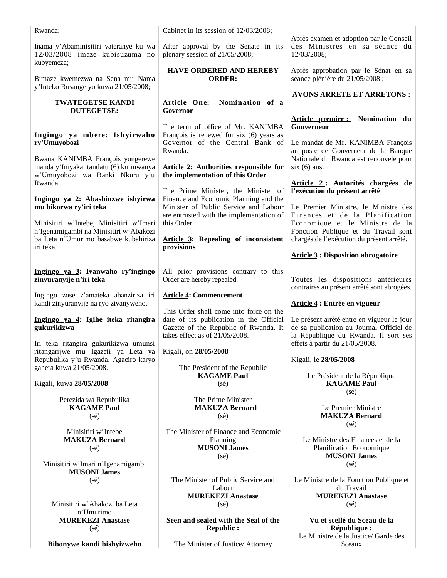| Rwanda;                                                                                                                   | Cabinet in its session of 12/03/2008;                                                                                                                         |                                                                                                                                |
|---------------------------------------------------------------------------------------------------------------------------|---------------------------------------------------------------------------------------------------------------------------------------------------------------|--------------------------------------------------------------------------------------------------------------------------------|
| Inama y'Abaminisitiri yateranye ku wa<br>12/03/2008 imaze kubisuzuma no<br>kubyemeza;                                     | After approval by the Senate in its<br>plenary session of 21/05/2008;                                                                                         | Après examen et adoption par le Conseil<br>des Ministres en sa séance du<br>12/03/2008;                                        |
| Bimaze kwemezwa na Sena mu Nama<br>y'Inteko Rusange yo kuwa 21/05/2008;                                                   | <b>HAVE ORDERED AND HEREBY</b><br><b>ORDER:</b>                                                                                                               | Après approbation par le Sénat en sa<br>séance plénière du 21/05/2008 ;                                                        |
| <b>TWATEGETSE KANDI</b>                                                                                                   | Article One: Nomination of a                                                                                                                                  | <b>AVONS ARRETE ET ARRETONS:</b>                                                                                               |
| <b>DUTEGETSE:</b>                                                                                                         | Governor                                                                                                                                                      | Article premier : Nomination du                                                                                                |
| Ingingo ya mbere: Ishyirwaho<br>ry'Umuyobozi                                                                              | The term of office of Mr. KANIMBA<br>François is renewed for six (6) years as<br>Governor of the Central Bank of                                              | Gouverneur<br>Le mandat de Mr. KANIMBA François                                                                                |
| Bwana KANIMBA François yongerewe                                                                                          | Rwanda.                                                                                                                                                       | au poste de Gouverneur de la Banque<br>Nationale du Rwanda est renouvelé pour                                                  |
| manda y'Imyaka itandatu (6) ku mwanya<br>w'Umuyobozi wa Banki Nkuru y'u<br>Rwanda.                                        | Article 2: Authorities responsible for<br>the implementation of this Order                                                                                    | $six(6)$ ans.<br>Article 2: Autorités chargées de                                                                              |
| Ingingo ya 2: Abashinzwe ishyirwa                                                                                         | The Prime Minister, the Minister of<br>Finance and Economic Planning and the                                                                                  | l'exécution du présent arrêté                                                                                                  |
| mu bikorwa ry'iri teka                                                                                                    | Minister of Public Service and Labour<br>are entrusted with the implementation of<br>this Order.                                                              | Le Premier Ministre, le Ministre des<br>Finances et de la Planification                                                        |
| Minisitiri w'Intebe, Minisitiri w'Imari<br>n'Igenamigambi na Minisitiri w'Abakozi<br>ba Leta n'Umurimo basabwe kubahiriza | <b>Article 3: Repealing of inconsistent</b>                                                                                                                   | Economique et le Ministre de la<br>Fonction Publique et du Travail sont<br>chargés de l'exécution du présent arrêté.           |
| iri teka.                                                                                                                 | provisions                                                                                                                                                    | <b>Article 3 : Disposition abrogatoire</b>                                                                                     |
| Ingingo ya 3: Ivanwaho ry'ingingo<br>zinyuranyije n'iri teka                                                              | All prior provisions contrary to this<br>Order are hereby repealed.                                                                                           | Toutes les dispositions antérieures<br>contraires au présent arrêté sont abrogées.                                             |
| Ingingo zose z'amateka abanziriza iri<br>kandi zinyuranyije na ryo zivanyweho.                                            | <b>Article 4: Commencement</b>                                                                                                                                | Article 4 : Entrée en vigueur                                                                                                  |
| Ingingo ya 4: Igihe iteka ritangira<br>gukurikizwa                                                                        | This Order shall come into force on the<br>date of its publication in the Official<br>Gazette of the Republic of Rwanda. It<br>takes effect as of 21/05/2008. | Le présent arrêté entre en vigueur le jour<br>de sa publication au Journal Officiel de<br>la République du Rwanda. Il sort ses |
| Iri teka ritangira gukurikizwa umunsi<br>ritangarijwe mu Igazeti ya Leta ya                                               | Kigali, on 28/05/2008                                                                                                                                         | effets à partir du 21/05/2008.                                                                                                 |
| Repubulika y'u Rwanda. Agaciro karyo<br>gahera kuwa 21/05/2008.                                                           | The President of the Republic                                                                                                                                 | Kigali, le 28/05/2008                                                                                                          |
| Kigali, kuwa 28/05/2008                                                                                                   | <b>KAGAME Paul</b><br>$(s\acute{e})$                                                                                                                          | Le Président de la République<br><b>KAGAME Paul</b><br>$(s\acute{e})$                                                          |
| Perezida wa Repubulika<br><b>KAGAME Paul</b><br>$(s\acute{e})$                                                            | The Prime Minister<br><b>MAKUZA Bernard</b><br>$(s\acute{e})$                                                                                                 | Le Premier Ministre<br><b>MAKUZA Bernard</b><br>$(s\acute{e})$                                                                 |
| Minisitiri w'Intebe<br><b>MAKUZA Bernard</b><br>$(s\acute{e})$                                                            | The Minister of Finance and Economic<br>Planning<br><b>MUSONI James</b><br>$(s\acute{e})$                                                                     | Le Ministre des Finances et de la<br>Planification Economique<br><b>MUSONI James</b>                                           |
| Minisitiri w'Imari n'Igenamigambi<br><b>MUSONI James</b>                                                                  |                                                                                                                                                               | $(s\acute{e})$                                                                                                                 |
| $(s\acute{e})$                                                                                                            | The Minister of Public Service and                                                                                                                            | Le Ministre de la Fonction Publique et                                                                                         |
|                                                                                                                           | Labour<br><b>MUREKEZI Anastase</b>                                                                                                                            | du Travail<br><b>MUREKEZI Anastase</b>                                                                                         |
| Minisitiri w'Abakozi ba Leta<br>n'Umurimo                                                                                 | $(s\acute{e})$                                                                                                                                                | $(s\acute{e})$                                                                                                                 |
| <b>MUREKEZI Anastase</b><br>$(s\acute{e})$                                                                                | Seen and sealed with the Seal of the<br><b>Republic:</b>                                                                                                      | Vu et scellé du Sceau de la<br>République :                                                                                    |
| Bibonywe kandi bishyizweho                                                                                                | The Minister of Justice/ Attorney                                                                                                                             | Le Ministre de la Justice/ Garde des<br><b>Sceaux</b>                                                                          |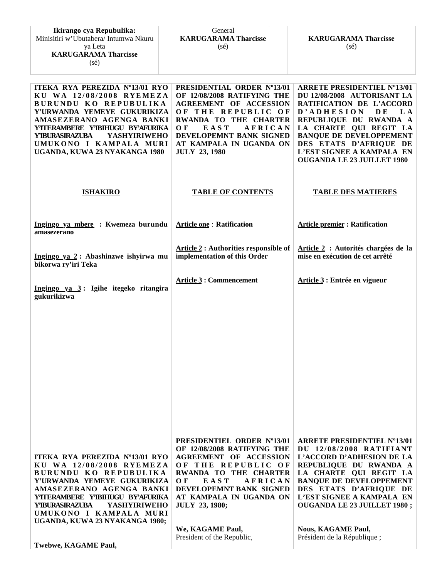| ITEKA RYA PEREZIDA Nº13/01 RYO<br>KU WA 12/08/2008 RYEMEZA<br>BURUNDU KO REPUBULIKA<br>Y'URWANDA YEMEYE GUKURIKIZA<br>AMASEZERANO AGENGA BANKI<br>YTTERAMBERE Y'IBIHUGU BY'AFURIKA<br><b>Y'IBURASIRAZUBA</b><br><b>YASHYIRIWEHO</b><br>UMUKONO I KAMPALA MURI<br>UGANDA, KUWA 23 NYAKANGA 1980  | PRESIDENTIAL ORDER Nº13/01<br>OF 12/08/2008 RATIFYING THE<br><b>AGREEMENT OF ACCESSION</b><br>OF THE REPUBLIC OF<br>RWANDA TO THE CHARTER<br>EAST<br>O F<br>AFRICAN<br>DEVELOPEMNT BANK SIGNED<br>AT KAMPALA IN UGANDA ON<br><b>JULY 23, 1980</b> | <b>ARRETE PRESIDENTIEL Nº13/01</b><br>DU 12/08/2008 AUTORISANT LA<br>RATIFICATION DE L'ACCORD<br>D'ADHESION<br>D E<br>L A<br>REPUBLIQUE DU RWANDA A<br>LA CHARTE QUI REGIT LA<br><b>BANQUE DE DEVELOPPEMENT</b><br>DES ETATS D'AFRIQUE DE<br>L'EST SIGNEE A KAMPALA EN<br><b>OUGANDA LE 23 JUILLET 1980</b> |
|-------------------------------------------------------------------------------------------------------------------------------------------------------------------------------------------------------------------------------------------------------------------------------------------------|---------------------------------------------------------------------------------------------------------------------------------------------------------------------------------------------------------------------------------------------------|-------------------------------------------------------------------------------------------------------------------------------------------------------------------------------------------------------------------------------------------------------------------------------------------------------------|
| <b>ISHAKIRO</b>                                                                                                                                                                                                                                                                                 | <b>TABLE OF CONTENTS</b>                                                                                                                                                                                                                          | <b>TABLE DES MATIERES</b>                                                                                                                                                                                                                                                                                   |
| Ingingo ya mbere : Kwemeza burundu<br>amasezerano                                                                                                                                                                                                                                               | <b>Article one: Ratification</b>                                                                                                                                                                                                                  | <b>Article premier: Ratification</b>                                                                                                                                                                                                                                                                        |
| Ingingo ya 2: Abashinzwe ishyirwa mu<br>bikorwa ry'iri Teka                                                                                                                                                                                                                                     | <b>Article 2: Authorities responsible of</b><br>implementation of this Order                                                                                                                                                                      | Article 2 : Autorités chargées de la<br>mise en exécution de cet arrêté                                                                                                                                                                                                                                     |
| Ingingo ya 3: Igihe itegeko ritangira<br>gukurikizwa                                                                                                                                                                                                                                            | <b>Article 3: Commencement</b>                                                                                                                                                                                                                    | Article 3 : Entrée en vigueur                                                                                                                                                                                                                                                                               |
|                                                                                                                                                                                                                                                                                                 |                                                                                                                                                                                                                                                   |                                                                                                                                                                                                                                                                                                             |
|                                                                                                                                                                                                                                                                                                 |                                                                                                                                                                                                                                                   |                                                                                                                                                                                                                                                                                                             |
|                                                                                                                                                                                                                                                                                                 |                                                                                                                                                                                                                                                   |                                                                                                                                                                                                                                                                                                             |
|                                                                                                                                                                                                                                                                                                 |                                                                                                                                                                                                                                                   |                                                                                                                                                                                                                                                                                                             |
| ITEKA RYA PEREZIDA Nº13/01 RYO<br>KU WA 12/08/2008 RYEMEZA<br>BURUNDU KO REPUBULIKA<br>Y'URWANDA YEMEYE GUKURIKIZA<br>AMASEZERANO AGENGA BANKI<br>YTTERAMBERE Y'IBIHUGU BY'AFURIKA<br><b>YASHYIRIWEHO</b><br><b>Y'IBURASIRAZUBA</b><br>UMUKONO I KAMPALA MURI<br>UGANDA, KUWA 23 NYAKANGA 1980; | PRESIDENTIEL ORDER Nº13/01<br>OF 12/08/2008 RATIFYING THE<br><b>AGREEMENT OF ACCESSION</b><br>OF THE REPUBLIC OF<br>RWANDA TO THE CHARTER<br>OЕ<br>EAST<br>AFRICAN<br>DEVELOPEMNT BANK SIGNED<br>AT KAMPALA IN UGANDA ON<br><b>JULY 23, 1980;</b> | <b>ARRETE PRESIDENTIEL Nº13/01</b><br>DU 12/08/2008 RATIFIANT<br>L'ACCORD D'ADHESION DE LA<br>REPUBLIQUE DU RWANDA A<br>LA CHARTE QUI REGIT LA<br><b>BANQUE DE DEVELOPPEMENT</b><br>DES ETATS D'AFRIQUE DE<br>L'EST SIGNEE A KAMPALA EN<br><b>OUGANDA LE 23 JUILLET 1980;</b>                               |
| Twebwe, KAGAME Paul,                                                                                                                                                                                                                                                                            | We, KAGAME Paul,<br>President of the Republic,                                                                                                                                                                                                    | <b>Nous, KAGAME Paul,</b><br>Président de la République;                                                                                                                                                                                                                                                    |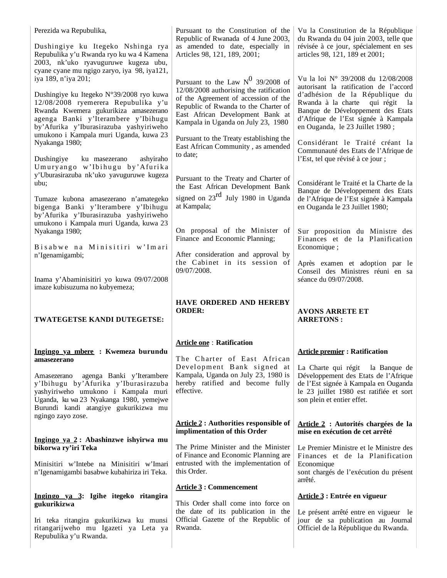| Perezida wa Repubulika,                                                                                                                                                                                                    | Pursuant to the Constitution of the<br>Republic of Rwanada of 4 June 2003,                                                                                                                        | Vu la Constitution de la République<br>du Rwanda du 04 juin 2003, telle que                                                                                                                                                      |
|----------------------------------------------------------------------------------------------------------------------------------------------------------------------------------------------------------------------------|---------------------------------------------------------------------------------------------------------------------------------------------------------------------------------------------------|----------------------------------------------------------------------------------------------------------------------------------------------------------------------------------------------------------------------------------|
| Dushingiye ku Itegeko Nshinga rya<br>Repubulika y'u Rwanda ryo ku wa 4 Kamena<br>2003, nk'uko ryavuguruwe kugeza ubu,<br>cyane cyane mu ngigo zaryo, iya 98, iya121,                                                       | as amended to date, especially in<br>Articles 98, 121, 189, 2001;                                                                                                                                 | révisée à ce jour, spécialement en ses<br>articles 98, 121, 189 et 2001;                                                                                                                                                         |
| iya 189, n'iya 201;                                                                                                                                                                                                        | Pursuant to the Law $N^0$ 39/2008 of                                                                                                                                                              | Vu la loi N° 39/2008 du 12/08/2008                                                                                                                                                                                               |
| Dushingiye ku Itegeko N°39/2008 ryo kuwa<br>12/08/2008 ryemerera Repubulika y'u<br>Rwanda Kwemera gukurikiza amasezerano<br>agenga Banki y'Iterambere y'Ibihugu<br>by'Afurika y'Iburasirazuba yashyiriweho                 | 12/08/2008 authorising the ratification<br>of the Agreement of accession of the<br>Republic of Rwanda to the Charter of<br>East African Development Bank at<br>Kampala in Uganda on July 23, 1980 | autorisant la ratification de l'accord<br>d'adhésion de la République du<br>Rwanda à la charte<br>qui régit<br>la<br>Banque de Développement des Etats<br>d'Afrique de l'Est signée à Kampala<br>en Ouganda, le 23 Juillet 1980; |
| umukono i Kampala muri Uganda, kuwa 23<br>Nyakanga 1980;                                                                                                                                                                   | Pursuant to the Treaty establishing the<br>East African Community, as amended<br>to date;                                                                                                         | Considérant le Traité créant la<br>Communauté des Etats de l'Afrique de                                                                                                                                                          |
| Dushingiye<br>ku masezerano<br>ashyiraho<br>Umuryango w'Ibihugu by'Afurika<br>y'Uburasirazuba nk'uko yavuguruwe kugeza                                                                                                     |                                                                                                                                                                                                   | l'Est, tel que révisé à ce jour ;                                                                                                                                                                                                |
| $ubu$ ;                                                                                                                                                                                                                    | Pursuant to the Treaty and Charter of<br>the East African Development Bank                                                                                                                        | Considérant le Traité et la Charte de la<br>Banque de Développement des Etats                                                                                                                                                    |
| Tumaze kubona amasezerano n'amategeko<br>bigenga Banki y'Iterambere y'Ibihugu<br>by'Afurika y'Iburasirazuba yashyiriweho<br>umukono i Kampala muri Uganda, kuwa 23                                                         | signed on $23^{\text{rd}}$ July 1980 in Uganda<br>at Kampala;                                                                                                                                     | de l'Afrique de l'Est signée à Kampala<br>en Ouganda le 23 Juillet 1980;                                                                                                                                                         |
| Nyakanga 1980;<br>Bisabwe na Minisitiri w'Imari                                                                                                                                                                            | On proposal of the Minister of<br>Finance and Economic Planning;                                                                                                                                  | Sur proposition du Ministre des<br>Finances et de la Planification<br>Economique;                                                                                                                                                |
| n'Igenamigambi;                                                                                                                                                                                                            | After consideration and approval by<br>the Cabinet in its session of<br>09/07/2008.                                                                                                               | Après examen et adoption par le<br>Conseil des Ministres réuni en sa                                                                                                                                                             |
| Inama y'Abaminisitiri yo kuwa 09/07/2008                                                                                                                                                                                   |                                                                                                                                                                                                   |                                                                                                                                                                                                                                  |
| imaze kubisuzuma no kubyemeza;                                                                                                                                                                                             |                                                                                                                                                                                                   | séance du 09/07/2008.                                                                                                                                                                                                            |
| TWATEGETSE KANDI DUTEGETSE:                                                                                                                                                                                                | HAVE ORDERED AND HEREBY<br><b>ORDER:</b>                                                                                                                                                          | <b>AVONS ARRETE ET</b><br><b>ARRETONS:</b>                                                                                                                                                                                       |
|                                                                                                                                                                                                                            |                                                                                                                                                                                                   |                                                                                                                                                                                                                                  |
| Ingingo ya mbere : Kwemeza burundu                                                                                                                                                                                         | <b>Article one: Ratification</b><br>The Charter of East African                                                                                                                                   | <b>Article premier: Ratification</b>                                                                                                                                                                                             |
| amasezerano<br>agenga Banki y'Iterambere<br>Amasezerano<br>y'Ibihugu by'Afurika y'Iburasirazuba<br>yashyiriweho umukono i Kampala muri<br>Uganda, ku wa 23 Nyakanga 1980, yemejwe<br>Burundi kandi atangiye gukurikizwa mu | Development Bank signed at<br>Kampala, Uganda on July 23, 1980 is<br>hereby ratified and become fully<br>effective.                                                                               | La Charte qui régit<br>la Banque de<br>Développement des Etats de l'Afrique<br>de l'Est signée à Kampala en Ouganda<br>le 23 juillet 1980 est ratifiée et sort<br>son plein et entier effet.                                     |
| ngingo zayo zose.                                                                                                                                                                                                          | <b>Article 2: Authorities responsible of</b><br>implimentation of this Order                                                                                                                      | Article 2 : Autorités chargées de la<br>mise en exécution de cet arrêté                                                                                                                                                          |
| Ingingo ya 2: Abashinzwe ishyirwa mu<br>bikorwa ry'iri Teka                                                                                                                                                                | The Prime Minister and the Minister<br>of Finance and Economic Planning are                                                                                                                       | Le Premier Ministre et le Ministre des<br>Finances et de la Planification                                                                                                                                                        |
| Minisitiri w'Intebe na Minisitiri w'Imari<br>n'Igenamigambi basabwe kubahiriza iri Teka.                                                                                                                                   | entrusted with the implementation of<br>this Order.                                                                                                                                               | Economique<br>sont chargés de l'exécution du présent<br>arrêté.                                                                                                                                                                  |
|                                                                                                                                                                                                                            | <b>Article 3: Commencement</b>                                                                                                                                                                    |                                                                                                                                                                                                                                  |
| Ingingo ya 3: Igihe itegeko ritangira<br>gukurikizwa                                                                                                                                                                       | This Order shall come into force on                                                                                                                                                               | Article 3 : Entrée en vigueur                                                                                                                                                                                                    |
| Iri teka ritangira gukurikizwa ku munsi<br>ritangarijweho mu Igazeti ya Leta ya<br>Repubulika y'u Rwanda.                                                                                                                  | the date of its publication in the<br>Official Gazette of the Republic of<br>Rwanda.                                                                                                              | Le présent arrêté entre en vigueur le<br>jour de sa publication au Journal<br>Officiel de la République du Rwanda.                                                                                                               |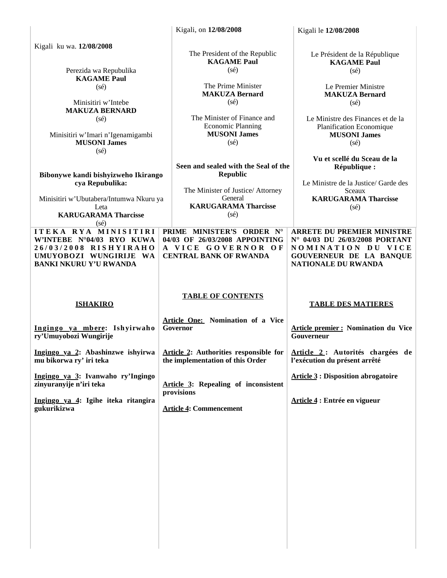|                                                                                                                                                            | Kigali, on 12/08/2008                                                                                                                             | Kigali le 12/08/2008                                                                                                                           |
|------------------------------------------------------------------------------------------------------------------------------------------------------------|---------------------------------------------------------------------------------------------------------------------------------------------------|------------------------------------------------------------------------------------------------------------------------------------------------|
| Kigali ku wa. 12/08/2008<br>Perezida wa Repubulika                                                                                                         | The President of the Republic<br><b>KAGAME Paul</b><br>$(s\acute{e})$                                                                             | Le Président de la République<br><b>KAGAME Paul</b><br>$(s\acute{e})$                                                                          |
| <b>KAGAME Paul</b><br>$(s\acute{e})$<br>Minisitiri w'Intebe<br><b>MAKUZA BERNARD</b>                                                                       | The Prime Minister<br><b>MAKUZA Bernard</b><br>$(s\acute{e})$                                                                                     | Le Premier Ministre<br><b>MAKUZA Bernard</b><br>$(s\acute{e})$                                                                                 |
| $(s\acute{e})$<br>Minisitiri w'Imari n'Igenamigambi<br><b>MUSONI James</b><br>$(s\acute{e})$                                                               | The Minister of Finance and<br><b>Economic Planning</b><br><b>MUSONI James</b><br>$(s\acute{e})$                                                  | Le Ministre des Finances et de la<br>Planification Economique<br><b>MUSONI James</b><br>$(s\acute{e})$                                         |
| Bibonywe kandi bishyizweho Ikirango<br>cya Repubulika:<br>Minisitiri w'Ubutabera/Intumwa Nkuru ya<br>Leta<br><b>KARUGARAMA Tharcisse</b><br>$(s\acute{e})$ | Seen and sealed with the Seal of the<br>Republic<br>The Minister of Justice/ Attorney<br>General<br><b>KARUGARAMA Tharcisse</b><br>$(s\acute{e})$ | Vu et scellé du Sceau de la<br>République :<br>Le Ministre de la Justice/ Garde des<br>Sceaux<br><b>KARUGARAMA Tharcisse</b><br>$(s\acute{e})$ |
| ITEKA RYA MINISITIRI<br>W'INTEBE N°04/03 RYO KUWA<br>26/03/2008 RISHYIRAHO<br>UMUYOBOZI WUNGIRIJE WA<br><b>BANKI NKURU Y'U RWANDA</b>                      | PRIME MINISTER'S ORDER N°<br>04/03 OF 26/03/2008 APPOINTING<br>A VICE GOVERNOR OF<br><b>CENTRAL BANK OF RWANDA</b>                                | <b>ARRETE DU PREMIER MINISTRE</b><br>N° 04/03 DU 26/03/2008 PORTANT<br>NOMINATION DU VICE<br>GOUVERNEUR DE LA BANQUE<br>NATIONALE DU RWANDA    |
|                                                                                                                                                            |                                                                                                                                                   |                                                                                                                                                |
| <b>ISHAKIRO</b>                                                                                                                                            | <b>TABLE OF CONTENTS</b>                                                                                                                          | <b>TABLE DES MATIERES</b>                                                                                                                      |
| Ingingo ya mbere: Ishyirwaho<br>ry'Umuyobozi Wungirije                                                                                                     | Article One: Nomination of a Vice<br>Governor                                                                                                     | <b>Article premier: Nomination du Vice</b><br>Gouverneur                                                                                       |
| mu bikorwa ry' iri teka                                                                                                                                    | Ingingo ya 2: Abashinzwe ishyirwa Article 2: Authorities responsible for Article 2: Autorités chargées de<br>the implementation of this Order     | l'exécution du présent arrêté                                                                                                                  |
| Ingingo ya 3: Ivanwaho ry'Ingingo<br>zinyuranyije n'iri teka                                                                                               | Article 3: Repealing of inconsistent                                                                                                              | <b>Article 3 : Disposition abrogatoire</b>                                                                                                     |
| Ingingo ya 4: Igihe iteka ritangira<br>gukurikizwa                                                                                                         | provisions<br><b>Article 4: Commencement</b>                                                                                                      | Article 4 : Entrée en vigueur                                                                                                                  |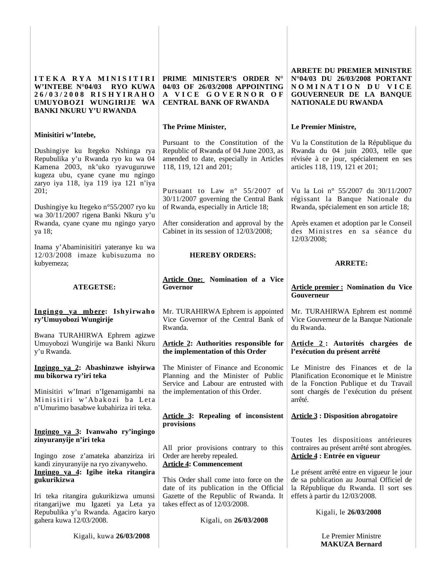| ITEKA RYA MINISITIRI<br>W'INTEBE N°04/03 RYO KUWA<br>26/03/2008 RISHYIRAHO<br>UMUYOBOZI WUNGIRIJE WA<br><b>BANKI NKURU Y'U RWANDA</b>                                                                           | PRIME MINISTER'S ORDER N°<br>04/03 OF 26/03/2008 APPOINTING<br>A VICE GOVERNOR OF<br><b>CENTRAL BANK OF RWANDA</b>                                 | <b>ARRETE DU PREMIER MINISTRE</b><br>N°04/03 DU 26/03/2008 PORTANT<br>NOMINATION DU VICE<br>GOUVERNEUR DE LA BANQUE<br><b>NATIONALE DU RWANDA</b>       |
|-----------------------------------------------------------------------------------------------------------------------------------------------------------------------------------------------------------------|----------------------------------------------------------------------------------------------------------------------------------------------------|---------------------------------------------------------------------------------------------------------------------------------------------------------|
|                                                                                                                                                                                                                 | The Prime Minister,                                                                                                                                | Le Premier Ministre,                                                                                                                                    |
| Minisitiri w'Intebe,<br>Dushingiye ku Itegeko Nshinga rya<br>Repubulika y'u Rwanda ryo ku wa 04<br>Kamena 2003, nk'uko ryavuguruwe<br>kugeza ubu, cyane cyane mu ngingo<br>zaryo iya 118, iya 119 iya 121 n'iya | Pursuant to the Constitution of the<br>Republic of Rwanda of 04 June 2003, as<br>amended to date, especially in Articles<br>118, 119, 121 and 201; | Vu la Constitution de la République du<br>Rwanda du 04 juin 2003, telle que<br>révisée à ce jour, spécialement en ses<br>articles 118, 119, 121 et 201; |
| 201;                                                                                                                                                                                                            | Pursuant to Law $n^{\circ}$ 55/2007 of<br>30/11/2007 governing the Central Bank                                                                    | Vu la Loi nº 55/2007 du 30/11/2007                                                                                                                      |
| Dushingiye ku Itegeko n°55/2007 ryo ku<br>wa 30/11/2007 rigena Banki Nkuru y'u                                                                                                                                  | of Rwanda, especially in Article 18;                                                                                                               | régissant la Banque Nationale du<br>Rwanda, spécialement en son article 18;                                                                             |
| Rwanda, cyane cyane mu ngingo yaryo<br>ya 18;                                                                                                                                                                   | After consideration and approval by the<br>Cabinet in its session of 12/03/2008;                                                                   | Après examen et adoption par le Conseil<br>des Ministres en sa séance du<br>12/03/2008;                                                                 |
| Inama y'Abaminisitiri yateranye ku wa<br>$12/03/2008$ imaze kubisuzuma no                                                                                                                                       | <b>HEREBY ORDERS:</b>                                                                                                                              |                                                                                                                                                         |
| kubyemeza;                                                                                                                                                                                                      |                                                                                                                                                    | <b>ARRETE:</b>                                                                                                                                          |
| <b>ATEGETSE:</b>                                                                                                                                                                                                | <b>Article One: Nomination of a Vice</b><br>Governor                                                                                               | <b>Article premier: Nomination du Vice</b><br>Gouverneur                                                                                                |
| Ingingo ya mbere: Ishyirwaho<br>ry'Umuyobozi Wungirije                                                                                                                                                          | Mr. TURAHIRWA Ephrem is appointed<br>Vice Governor of the Central Bank of<br>Rwanda.                                                               | Mr. TURAHIRWA Ephrem est nommé<br>Vice Gouverneur de la Banque Nationale<br>du Rwanda.                                                                  |
| Bwana TURAHIRWA Ephrem agizwe<br>Umuyobozi Wungirije wa Banki Nkuru<br>y'u Rwanda.                                                                                                                              | Article 2: Authorities responsible for<br>the implementation of this Order                                                                         | Article 2: Autorités chargées de<br>l'exécution du présent arrêté                                                                                       |
| Ingingo ya 2: Abashinzwe ishyirwa<br>mu bikorwa ry'iri teka                                                                                                                                                     | The Minister of Finance and Economic<br>Planning and the Minister of Public<br>Service and Labour are entrusted with                               | Le Ministre des Finances et de la<br>Planification Economique et le Ministre<br>de la Fonction Publique et du Travail                                   |
| Minisitiri w'Imari n'Igenamigambi na<br>Minisitiri w'Abakozi ba Leta                                                                                                                                            | the implementation of this Order.                                                                                                                  | sont chargés de l'exécution du présent<br>arrêté.                                                                                                       |
| n'Umurimo basabwe kubahiriza iri teka.                                                                                                                                                                          | <b>Article 3: Repealing of inconsistent</b><br>provisions                                                                                          | <b>Article 3: Disposition abrogatoire</b>                                                                                                               |
| Ingingo ya 3: Ivanwaho ry'ingingo                                                                                                                                                                               |                                                                                                                                                    |                                                                                                                                                         |
| zinyuranyije n'iri teka<br>Ingingo zose z'amateka abanziriza iri<br>kandi zinyuranyije na ryo zivanyweho.                                                                                                       | All prior provisions contrary to this<br>Order are hereby repealed.<br><b>Article 4: Commencement</b>                                              | Toutes les dispositions antérieures<br>contraires au présent arrêté sont abrogées.<br><b>Article 4 : Entrée en vigueur</b>                              |
| Ingingo ya 4: Igihe iteka ritangira<br>gukurikizwa                                                                                                                                                              | This Order shall come into force on the<br>date of its publication in the Official                                                                 | Le présent arrêté entre en vigueur le jour<br>de sa publication au Journal Officiel de<br>la République du Rwanda. Il sort ses                          |
| Iri teka ritangira gukurikizwa umunsi<br>ritangarijwe mu Igazeti ya Leta ya<br>Repubulika y'u Rwanda. Agaciro karyo<br>gahera kuwa 12/03/2008.                                                                  | Gazette of the Republic of Rwanda. It<br>takes effect as of 12/03/2008.<br>Kigali, on 26/03/2008                                                   | effets à partir du 12/03/2008.<br>Kigali, le 26/03/2008                                                                                                 |
|                                                                                                                                                                                                                 |                                                                                                                                                    |                                                                                                                                                         |
| Kigali, kuwa 26/03/2008                                                                                                                                                                                         |                                                                                                                                                    | Le Premier Ministre<br><b>MAKUZA Bernard</b>                                                                                                            |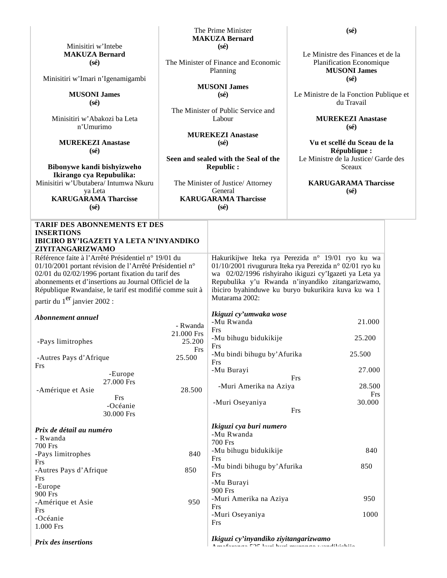|                                                                                                                                                                                                                                                                              |                                                                                                        | <b>MAKUZA Bernard</b>                                                                                                                                                                                                                            |                                                                                               |  |
|------------------------------------------------------------------------------------------------------------------------------------------------------------------------------------------------------------------------------------------------------------------------------|--------------------------------------------------------------------------------------------------------|--------------------------------------------------------------------------------------------------------------------------------------------------------------------------------------------------------------------------------------------------|-----------------------------------------------------------------------------------------------|--|
| Minisitiri w'Intebe                                                                                                                                                                                                                                                          |                                                                                                        | $(s\acute{e})$                                                                                                                                                                                                                                   |                                                                                               |  |
| <b>MAKUZA Bernard</b><br>$(s\acute{e})$                                                                                                                                                                                                                                      | The Minister of Finance and Economic<br>Planning                                                       |                                                                                                                                                                                                                                                  | Le Ministre des Finances et de la<br>Planification Economique<br><b>MUSONI James</b>          |  |
| Minisitiri w'Imari n'Igenamigambi                                                                                                                                                                                                                                            |                                                                                                        |                                                                                                                                                                                                                                                  | $(s\acute{e})$                                                                                |  |
| <b>MUSONI James</b><br>$(s\acute{e})$                                                                                                                                                                                                                                        | <b>MUSONI James</b><br>$(s\acute{e})$                                                                  |                                                                                                                                                                                                                                                  | Le Ministre de la Fonction Publique et<br>du Travail                                          |  |
| Minisitiri w'Abakozi ba Leta<br>n'Umurimo                                                                                                                                                                                                                                    |                                                                                                        | The Minister of Public Service and<br>Labour                                                                                                                                                                                                     | <b>MUREKEZI Anastase</b><br>$(s\acute{e})$                                                    |  |
| <b>MUREKEZI Anastase</b><br>$(s\acute{e})$                                                                                                                                                                                                                                   | <b>MUREKEZI Anastase</b><br>$(s\acute{e})$<br>Seen and sealed with the Seal of the<br><b>Republic:</b> |                                                                                                                                                                                                                                                  | Vu et scellé du Sceau de la<br>République :<br>Le Ministre de la Justice/ Garde des<br>Sceaux |  |
| Bibonywe kandi bishyizweho<br>Ikirango cya Repubulika:                                                                                                                                                                                                                       |                                                                                                        |                                                                                                                                                                                                                                                  |                                                                                               |  |
| Minisitiri w'Ubutabera/ Intumwa Nkuru                                                                                                                                                                                                                                        |                                                                                                        | The Minister of Justice/ Attorney                                                                                                                                                                                                                | <b>KARUGARAMA Tharcisse</b>                                                                   |  |
| ya Leta                                                                                                                                                                                                                                                                      | General                                                                                                |                                                                                                                                                                                                                                                  | $(s\acute{e})$                                                                                |  |
| <b>KARUGARAMA Tharcisse</b>                                                                                                                                                                                                                                                  |                                                                                                        | <b>KARUGARAMA Tharcisse</b>                                                                                                                                                                                                                      |                                                                                               |  |
| $(s\acute{e})$                                                                                                                                                                                                                                                               |                                                                                                        | $(s\acute{e})$                                                                                                                                                                                                                                   |                                                                                               |  |
| <b>TARIF DES ABONNEMENTS ET DES</b><br><b>INSERTIONS</b><br>IBICIRO BY'IGAZETI YA LETA N'INYANDIKO<br>ZIYITANGARIZWAMO<br>Référence faite à l'Arrêté Présidentiel n° 19/01 du                                                                                                |                                                                                                        |                                                                                                                                                                                                                                                  | Hakurikijwe Iteka rya Perezida n° 19/01 ryo ku wa                                             |  |
| 01/10/2001 portant révision de l'Arrêté Présidentiel n°<br>02/01 du 02/02/1996 portant fixation du tarif des<br>abonnements et d'insertions au Journal Officiel de la<br>République Rwandaise, le tarif est modifié comme suit à<br>partir du 1 <sup>er</sup> janvier 2002 : |                                                                                                        | 01/10/2001 rivugurura Iteka rya Perezida n° 02/01 ryo ku<br>wa 02/02/1996 rishyiraho ikiguzi cy'Igazeti ya Leta ya<br>Repubulika y'u Rwanda n'inyandiko zitangarizwamo,<br>ibiciro byahinduwe ku buryo bukurikira kuva ku wa 1<br>Mutarama 2002: |                                                                                               |  |
| Abonnement annuel                                                                                                                                                                                                                                                            | - Rwanda                                                                                               | Ikiguzi cy'umwaka wose<br>-Mu Rwanda                                                                                                                                                                                                             | 21.000                                                                                        |  |
| -Pays limitrophes                                                                                                                                                                                                                                                            | 21.000 Frs<br>25.200<br><b>Frs</b>                                                                     | Frs<br>-Mu bihugu bidukikije<br>Frs                                                                                                                                                                                                              | 25.200                                                                                        |  |
| -Autres Pays d'Afrique<br>Frs                                                                                                                                                                                                                                                | 25.500                                                                                                 | -Mu bindi bihugu by' Afurika<br>Frs                                                                                                                                                                                                              | 25.500                                                                                        |  |
| -Europe                                                                                                                                                                                                                                                                      |                                                                                                        | -Mu Burayi                                                                                                                                                                                                                                       | 27.000<br>Frs                                                                                 |  |
| 27.000 Frs<br>-Amérique et Asie<br>Frs                                                                                                                                                                                                                                       | 28.500                                                                                                 | -Muri Amerika na Aziya                                                                                                                                                                                                                           | 28.500<br>Frs                                                                                 |  |
| -Océanie<br>30.000 Frs                                                                                                                                                                                                                                                       |                                                                                                        | -Muri Oseyaniya                                                                                                                                                                                                                                  | 30.000<br>Frs                                                                                 |  |
| Prix de détail au numéro<br>- Rwanda                                                                                                                                                                                                                                         |                                                                                                        | Ikiguzi cya buri numero<br>-Mu Rwanda<br><b>700 Frs</b>                                                                                                                                                                                          |                                                                                               |  |
| <b>700 Frs</b><br>-Pays limitrophes<br>Frs                                                                                                                                                                                                                                   | 840                                                                                                    | -Mu bihugu bidukikije<br>Frs                                                                                                                                                                                                                     | 840                                                                                           |  |
| -Autres Pays d'Afrique<br>Frs<br>-Europe                                                                                                                                                                                                                                     | 850                                                                                                    | -Mu bindi bihugu by' Afurika<br>Frs<br>-Mu Burayi<br>900 Frs                                                                                                                                                                                     | 850                                                                                           |  |
| 900 Frs<br>-Amérique et Asie                                                                                                                                                                                                                                                 | 950                                                                                                    | -Muri Amerika na Aziya<br>Frs                                                                                                                                                                                                                    | 950                                                                                           |  |
| Frs<br>-Océanie<br>1.000 Frs                                                                                                                                                                                                                                                 |                                                                                                        | -Muri Oseyaniya<br>Frs                                                                                                                                                                                                                           | 1000                                                                                          |  |
| <b>Prix des insertions</b>                                                                                                                                                                                                                                                   |                                                                                                        | Ikiguzi cy'inyandiko ziyitangarizwamo<br>$\Lambda$ and $\Lambda$ and a contribution of $\Lambda$ and $\Lambda$ and $\Lambda$ are a contribution of $\Lambda$ and $\Lambda$                                                                       |                                                                                               |  |

The Prime Minister

**(sé)**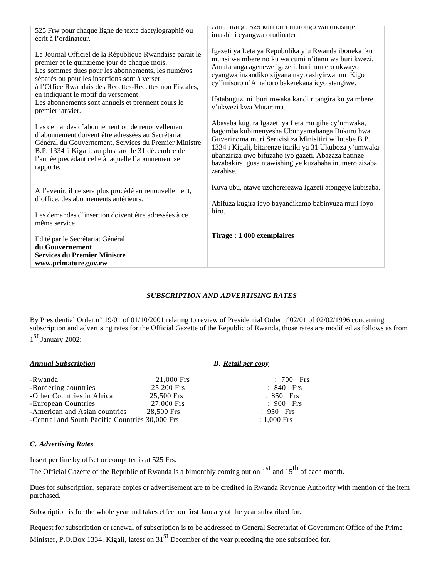| 525 Frw pour chaque ligne de texte dactylographié ou<br>écrit à l'ordinateur.                                                                                                                                                                                                                                                                                                            | Amaranga 323 kuri puri murongo wandikisnije<br>imashini cyangwa orudinateri.                                                                                                                                                                                                                                                                         |  |
|------------------------------------------------------------------------------------------------------------------------------------------------------------------------------------------------------------------------------------------------------------------------------------------------------------------------------------------------------------------------------------------|------------------------------------------------------------------------------------------------------------------------------------------------------------------------------------------------------------------------------------------------------------------------------------------------------------------------------------------------------|--|
| Le Journal Officiel de la République Rwandaise paraît le<br>premier et le quinzième jour de chaque mois.<br>Les sommes dues pour les abonnements, les numéros<br>séparés ou pour les insertions sont à verser<br>à l'Office Rwandais des Recettes-Recettes non Fiscales,<br>en indiquant le motif du versement.<br>Les abonnements sont annuels et prennent cours le<br>premier janvier. | Igazeti ya Leta ya Repubulika y'u Rwanda iboneka ku<br>munsi wa mbere no ku wa cumi n'itanu wa buri kwezi.<br>Amafaranga agenewe igazeti, buri numero ukwayo<br>cyangwa inzandiko zijyana nayo ashyirwa mu Kigo<br>cy'Imisoro n'Amahoro bakerekana icyo atangiwe.<br>Ifatabuguzi ni buri mwaka kandi ritangira ku ya mbere<br>y'ukwezi kwa Mutarama. |  |
| Les demandes d'abonnement ou de renouvellement<br>d'abonnement doivent être adressées au Secrétariat<br>Général du Gouvernement, Services du Premier Ministre<br>B.P. 1334 à Kigali, au plus tard le 31 décembre de<br>l'année précédant celle à laquelle l'abonnement se<br>rapporte.                                                                                                   | Abasaba kugura Igazeti ya Leta mu gihe cy'umwaka,<br>bagomba kubimenyesha Ubunyamabanga Bukuru bwa<br>Guverinoma muri Serivisi za Minisitiri w'Intebe B.P.<br>1334 i Kigali, bitarenze itariki ya 31 Ukuboza y'umwaka<br>ubanziriza uwo bifuzaho iyo gazeti. Abazaza batinze<br>bazabakira, gusa ntawishingiye kuzabaha inumero zizaba<br>zarahise.  |  |
| A l'avenir, il ne sera plus procédé au renouvellement,                                                                                                                                                                                                                                                                                                                                   | Kuva ubu, ntawe uzohererezwa Igazeti atongeye kubisaba.                                                                                                                                                                                                                                                                                              |  |
| d'office, des abonnements antérieurs.<br>Les demandes d'insertion doivent être adressées à ce<br>même service.                                                                                                                                                                                                                                                                           | Abifuza kugira icyo bayandikamo babinyuza muri ibyo<br>biro.                                                                                                                                                                                                                                                                                         |  |
| Edité par le Secrétariat Général<br>du Gouvernement<br><b>Services du Premier Ministre</b><br>www.primature.gov.rw                                                                                                                                                                                                                                                                       | Tirage: 1 000 exemplaires                                                                                                                                                                                                                                                                                                                            |  |

### *SUBSCRIPTION AND ADVERTISING RATES*

By Presidential Order n° 19/01 of 01/10/2001 relating to review of Presidential Order n°02/01 of 02/02/1996 concerning subscription and advertising rates for the Official Gazette of the Republic of Rwanda, those rates are modified as follows as from

1<sup>st</sup> January 2002:

### *Annual Subscription B. Retail per copy*

| -Rwanda                                         | 21,000 Frs | $: 700$ Frs    |
|-------------------------------------------------|------------|----------------|
| -Bordering countries                            | 25,200 Frs | $: 840$ Frs    |
| -Other Countries in Africa                      | 25,500 Frs | $: 850$ Frs    |
| -European Countries                             | 27,000 Frs | $\div$ 900 Frs |
| -American and Asian countries                   | 28,500 Frs | $: 950$ Frs    |
| -Central and South Pacific Countries 30,000 Frs |            | $: 1,000$ Frs  |

## *C. Advertising Rates*

Insert per line by offset or computer is at 525 Frs.

The Official Gazette of the Republic of Rwanda is a bimonthly coming out on  $1<sup>st</sup>$  and  $15<sup>th</sup>$  of each month.

Dues for subscription, separate copies or advertisement are to be credited in Rwanda Revenue Authority with mention of the item purchased.

Subscription is for the whole year and takes effect on first January of the year subscribed for.

Request for subscription or renewal of subscription is to be addressed to General Secretariat of Government Office of the Prime Minister, P.O.Box 1334, Kigali, latest on  $31<sup>st</sup>$  December of the year preceding the one subscribed for.